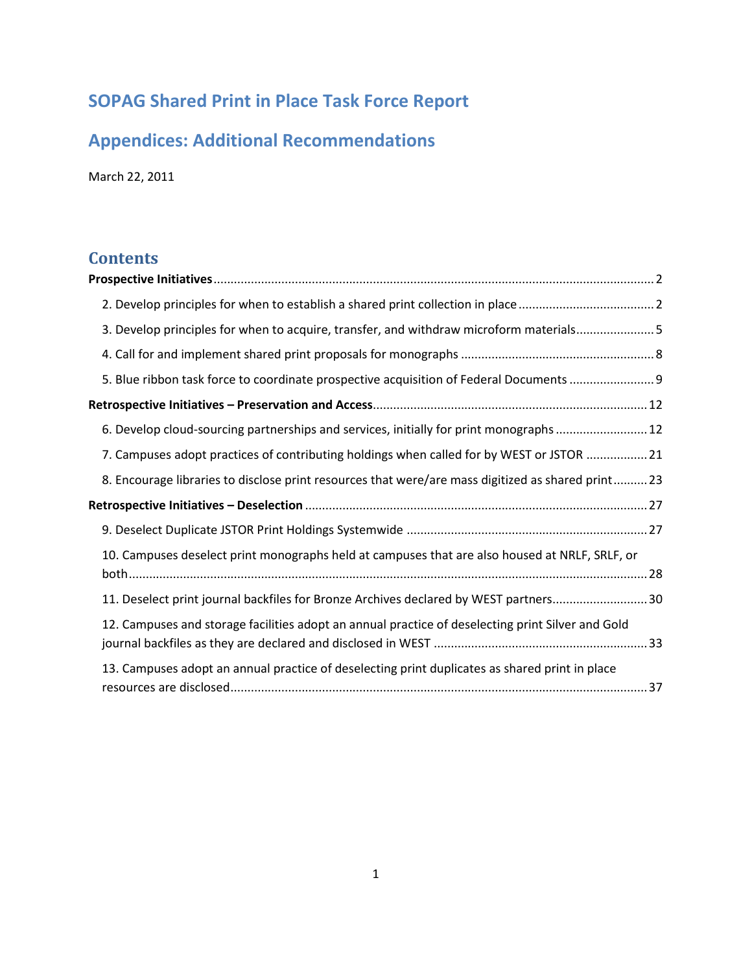# **SOPAG Shared Print in Place Task Force Report**

# **Appendices: Additional Recommendations**

March 22, 2011

## **Contents**

| 3. Develop principles for when to acquire, transfer, and withdraw microform materials5             |
|----------------------------------------------------------------------------------------------------|
|                                                                                                    |
| 5. Blue ribbon task force to coordinate prospective acquisition of Federal Documents               |
|                                                                                                    |
| 6. Develop cloud-sourcing partnerships and services, initially for print monographs  12            |
| 7. Campuses adopt practices of contributing holdings when called for by WEST or JSTOR  21          |
| 8. Encourage libraries to disclose print resources that were/are mass digitized as shared print 23 |
|                                                                                                    |
|                                                                                                    |
| 10. Campuses deselect print monographs held at campuses that are also housed at NRLF, SRLF, or     |
| 11. Deselect print journal backfiles for Bronze Archives declared by WEST partners30               |
| 12. Campuses and storage facilities adopt an annual practice of deselecting print Silver and Gold  |
| 13. Campuses adopt an annual practice of deselecting print duplicates as shared print in place     |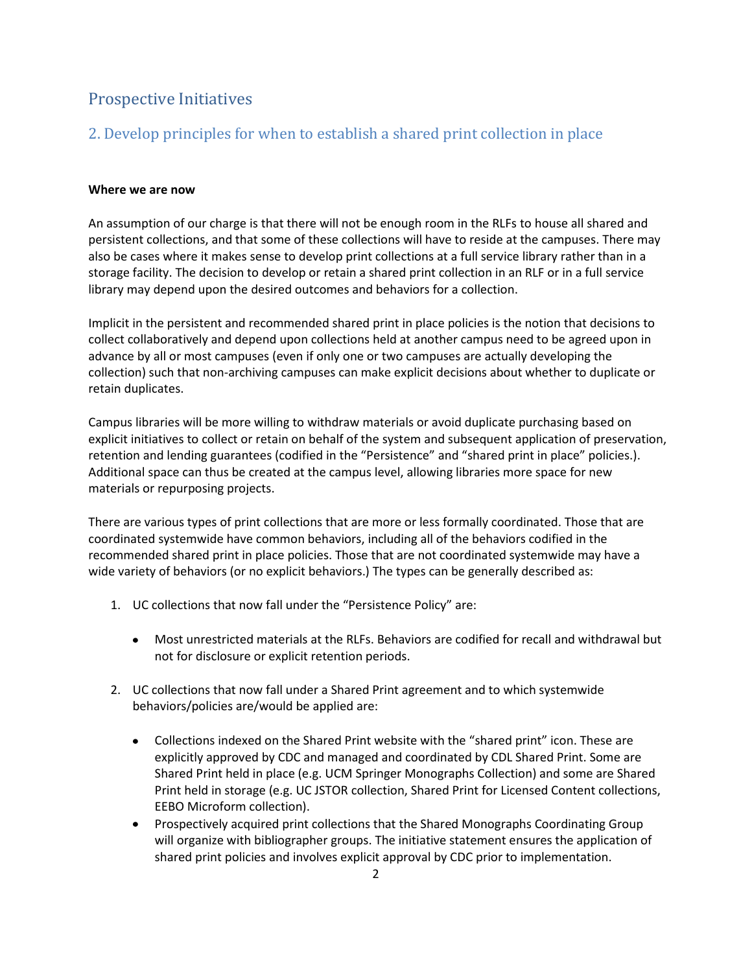## <span id="page-1-0"></span>Prospective Initiatives

## <span id="page-1-1"></span>2. Develop principles for when to establish a shared print collection in place

## **Where we are now**

An assumption of our charge is that there will not be enough room in the RLFs to house all shared and persistent collections, and that some of these collections will have to reside at the campuses. There may also be cases where it makes sense to develop print collections at a full service library rather than in a storage facility. The decision to develop or retain a shared print collection in an RLF or in a full service library may depend upon the desired outcomes and behaviors for a collection.

Implicit in the persistent and recommended shared print in place policies is the notion that decisions to collect collaboratively and depend upon collections held at another campus need to be agreed upon in advance by all or most campuses (even if only one or two campuses are actually developing the collection) such that non-archiving campuses can make explicit decisions about whether to duplicate or retain duplicates.

Campus libraries will be more willing to withdraw materials or avoid duplicate purchasing based on explicit initiatives to collect or retain on behalf of the system and subsequent application of preservation, retention and lending guarantees (codified in the "Persistence" and "shared print in place" policies.). Additional space can thus be created at the campus level, allowing libraries more space for new materials or repurposing projects.

There are various types of print collections that are more or less formally coordinated. Those that are coordinated systemwide have common behaviors, including all of the behaviors codified in the recommended shared print in place policies. Those that are not coordinated systemwide may have a wide variety of behaviors (or no explicit behaviors.) The types can be generally described as:

- 1. UC collections that now fall under the "Persistence Policy" are:
	- $\bullet$ Most unrestricted materials at the RLFs. Behaviors are codified for recall and withdrawal but not for disclosure or explicit retention periods.
- 2. UC collections that now fall under a Shared Print agreement and to which systemwide behaviors/policies are/would be applied are:
	- Collections indexed on the Shared Print website with the "shared print" icon. These are explicitly approved by CDC and managed and coordinated by CDL Shared Print. Some are Shared Print held in place (e.g. UCM Springer Monographs Collection) and some are Shared Print held in storage (e.g. UC JSTOR collection, Shared Print for Licensed Content collections, EEBO Microform collection).
	- Prospectively acquired print collections that the Shared Monographs Coordinating Group will organize with bibliographer groups. The initiative statement ensures the application of shared print policies and involves explicit approval by CDC prior to implementation.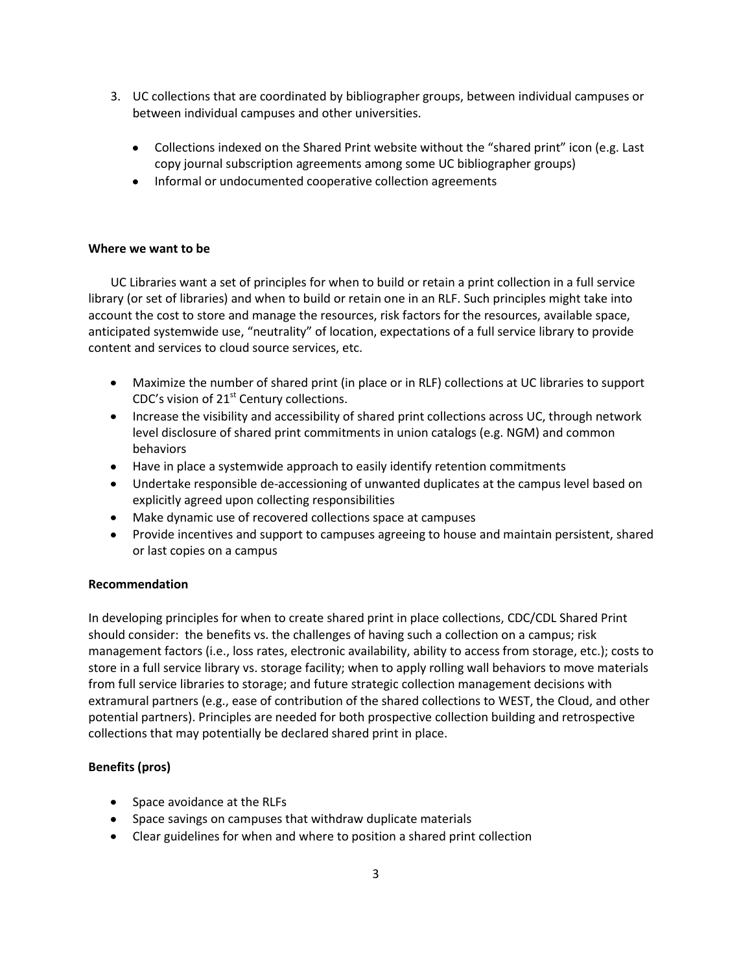- 3. UC collections that are coordinated by bibliographer groups, between individual campuses or between individual campuses and other universities.
	- Collections indexed on the Shared Print website without the "shared print" icon (e.g. Last copy journal subscription agreements among some UC bibliographer groups)
	- Informal or undocumented cooperative collection agreements

## **Where we want to be**

UC Libraries want a set of principles for when to build or retain a print collection in a full service library (or set of libraries) and when to build or retain one in an RLF. Such principles might take into account the cost to store and manage the resources, risk factors for the resources, available space, anticipated systemwide use, "neutrality" of location, expectations of a full service library to provide content and services to cloud source services, etc.

- Maximize the number of shared print (in place or in RLF) collections at UC libraries to support CDC's vision of  $21<sup>st</sup>$  Century collections.
- Increase the visibility and accessibility of shared print collections across UC, through network level disclosure of shared print commitments in union catalogs (e.g. NGM) and common behaviors
- Have in place a systemwide approach to easily identify retention commitments
- Undertake responsible de-accessioning of unwanted duplicates at the campus level based on explicitly agreed upon collecting responsibilities
- Make dynamic use of recovered collections space at campuses
- Provide incentives and support to campuses agreeing to house and maintain persistent, shared or last copies on a campus

## **Recommendation**

In developing principles for when to create shared print in place collections, CDC/CDL Shared Print should consider: the benefits vs. the challenges of having such a collection on a campus; risk management factors (i.e., loss rates, electronic availability, ability to access from storage, etc.); costs to store in a full service library vs. storage facility; when to apply rolling wall behaviors to move materials from full service libraries to storage; and future strategic collection management decisions with extramural partners (e.g., ease of contribution of the shared collections to WEST, the Cloud, and other potential partners). Principles are needed for both prospective collection building and retrospective collections that may potentially be declared shared print in place.

## **Benefits (pros)**

- Space avoidance at the RLFs
- Space savings on campuses that withdraw duplicate materials
- Clear guidelines for when and where to position a shared print collection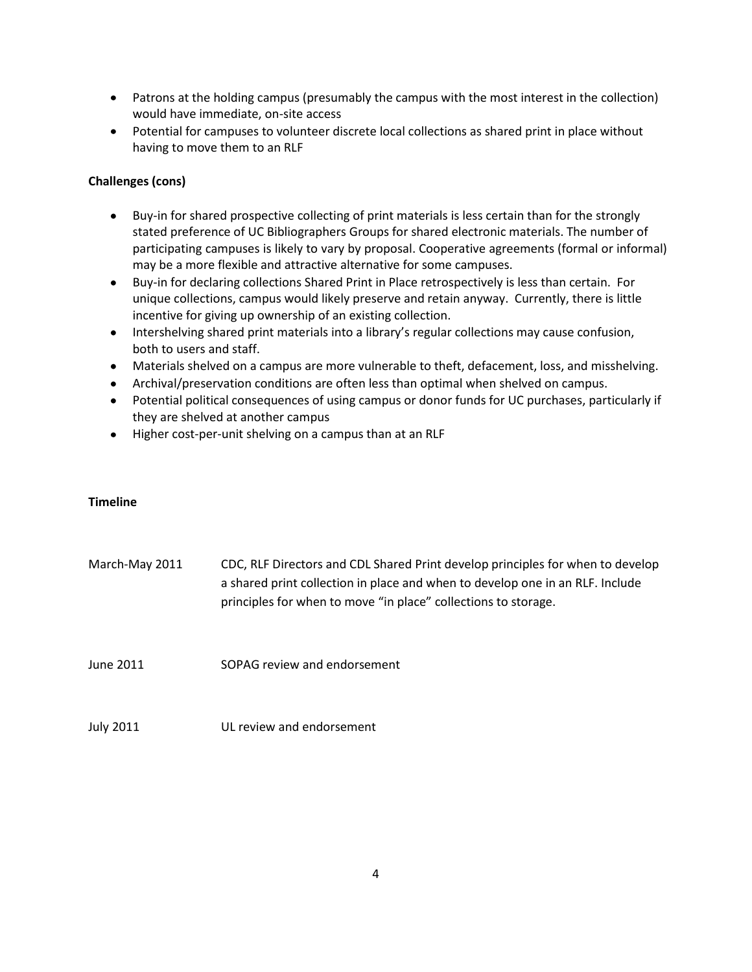- Patrons at the holding campus (presumably the campus with the most interest in the collection) would have immediate, on-site access
- Potential for campuses to volunteer discrete local collections as shared print in place without having to move them to an RLF

## **Challenges (cons)**

- Buy-in for shared prospective collecting of print materials is less certain than for the strongly stated preference of UC Bibliographers Groups for shared electronic materials. The number of participating campuses is likely to vary by proposal. Cooperative agreements (formal or informal) may be a more flexible and attractive alternative for some campuses.
- Buy-in for declaring collections Shared Print in Place retrospectively is less than certain. For unique collections, campus would likely preserve and retain anyway. Currently, there is little incentive for giving up ownership of an existing collection.
- Intershelving shared print materials into a library's regular collections may cause confusion, both to users and staff.
- Materials shelved on a campus are more vulnerable to theft, defacement, loss, and misshelving.
- Archival/preservation conditions are often less than optimal when shelved on campus.
- Potential political consequences of using campus or donor funds for UC purchases, particularly if they are shelved at another campus
- Higher cost-per-unit shelving on a campus than at an RLF

## **Timeline**

| March-May 2011 | CDC, RLF Directors and CDL Shared Print develop principles for when to develop |
|----------------|--------------------------------------------------------------------------------|
|                | a shared print collection in place and when to develop one in an RLF. Include  |
|                | principles for when to move "in place" collections to storage.                 |
|                |                                                                                |

- June 2011 SOPAG review and endorsement
- July 2011 UL review and endorsement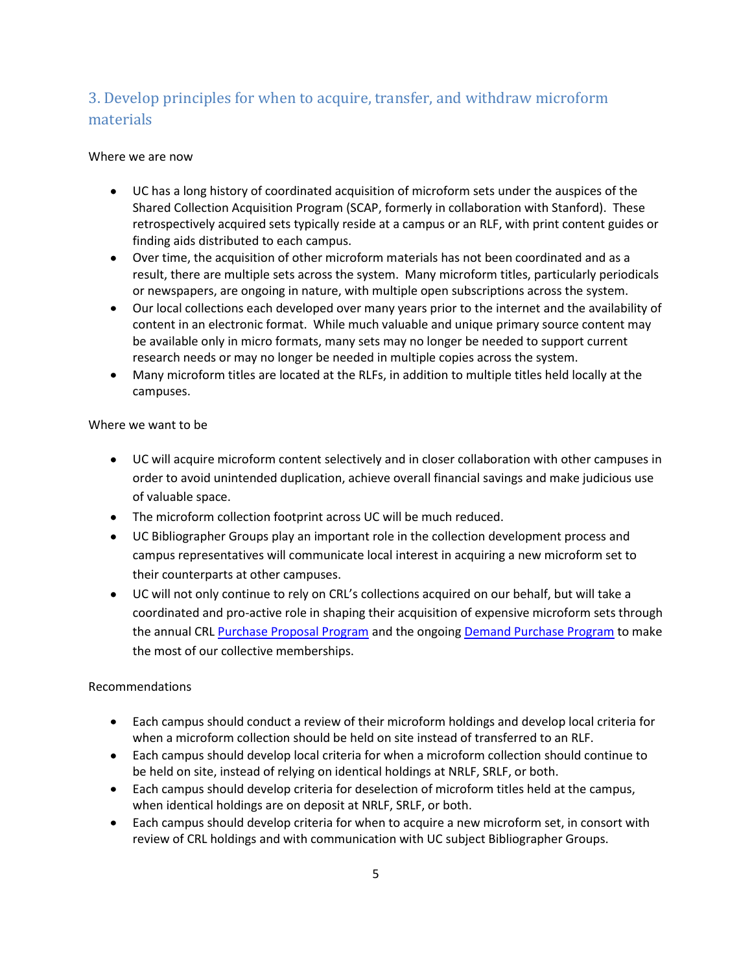## <span id="page-4-0"></span>3. Develop principles for when to acquire, transfer, and withdraw microform materials

## Where we are now

- UC has a long history of coordinated acquisition of microform sets under the auspices of the Shared Collection Acquisition Program (SCAP, formerly in collaboration with Stanford). These retrospectively acquired sets typically reside at a campus or an RLF, with print content guides or finding aids distributed to each campus.
- Over time, the acquisition of other microform materials has not been coordinated and as a result, there are multiple sets across the system. Many microform titles, particularly periodicals or newspapers, are ongoing in nature, with multiple open subscriptions across the system.
- Our local collections each developed over many years prior to the internet and the availability of content in an electronic format. While much valuable and unique primary source content may be available only in micro formats, many sets may no longer be needed to support current research needs or may no longer be needed in multiple copies across the system.
- Many microform titles are located at the RLFs, in addition to multiple titles held locally at the campuses.

## Where we want to be

- UC will acquire microform content selectively and in closer collaboration with other campuses in order to avoid unintended duplication, achieve overall financial savings and make judicious use of valuable space.
- The microform collection footprint across UC will be much reduced.
- UC Bibliographer Groups play an important role in the collection development process and campus representatives will communicate local interest in acquiring a new microform set to their counterparts at other campuses.
- UC will not only continue to rely on CRL's collections acquired on our behalf, but will take a coordinated and pro-active role in shaping their acquisition of expensive microform sets through the annual CRL [Purchase Proposal Program](http://www.crl.edu/collections/collection-building/cooperative-resource-development/pp-program) and the ongoing [Demand Purchase Program](http://www.crl.edu/collections/collection-building/cooperative-resource-development/demand-purchase) to make the most of our collective memberships.

## Recommendations

- Each campus should conduct a review of their microform holdings and develop local criteria for when a microform collection should be held on site instead of transferred to an RLF.
- Each campus should develop local criteria for when a microform collection should continue to be held on site, instead of relying on identical holdings at NRLF, SRLF, or both.
- Each campus should develop criteria for deselection of microform titles held at the campus, when identical holdings are on deposit at NRLF, SRLF, or both.
- Each campus should develop criteria for when to acquire a new microform set, in consort with review of CRL holdings and with communication with UC subject Bibliographer Groups.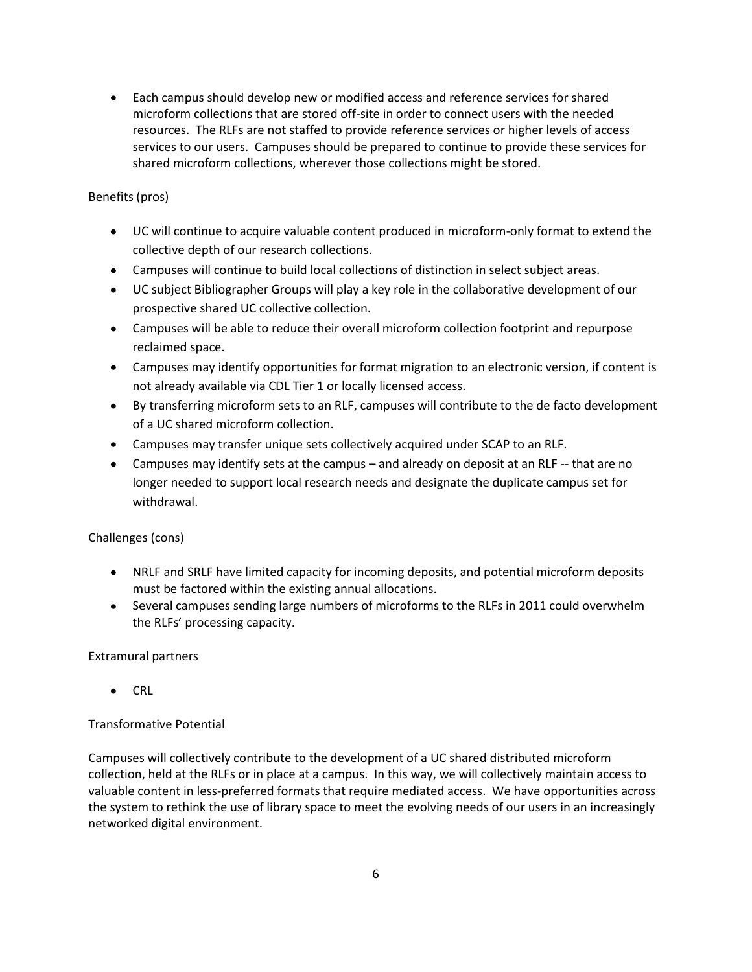Each campus should develop new or modified access and reference services for shared microform collections that are stored off-site in order to connect users with the needed resources. The RLFs are not staffed to provide reference services or higher levels of access services to our users. Campuses should be prepared to continue to provide these services for shared microform collections, wherever those collections might be stored.

## Benefits (pros)

- UC will continue to acquire valuable content produced in microform-only format to extend the collective depth of our research collections.
- Campuses will continue to build local collections of distinction in select subject areas.
- UC subject Bibliographer Groups will play a key role in the collaborative development of our prospective shared UC collective collection.
- Campuses will be able to reduce their overall microform collection footprint and repurpose reclaimed space.
- Campuses may identify opportunities for format migration to an electronic version, if content is not already available via CDL Tier 1 or locally licensed access.
- By transferring microform sets to an RLF, campuses will contribute to the de facto development of a UC shared microform collection.
- Campuses may transfer unique sets collectively acquired under SCAP to an RLF.
- Campuses may identify sets at the campus and already on deposit at an RLF -- that are no longer needed to support local research needs and designate the duplicate campus set for withdrawal.

## Challenges (cons)

- NRLF and SRLF have limited capacity for incoming deposits, and potential microform deposits must be factored within the existing annual allocations.
- Several campuses sending large numbers of microforms to the RLFs in 2011 could overwhelm the RLFs' processing capacity.

#### Extramural partners

CRL

## Transformative Potential

Campuses will collectively contribute to the development of a UC shared distributed microform collection, held at the RLFs or in place at a campus. In this way, we will collectively maintain access to valuable content in less-preferred formats that require mediated access. We have opportunities across the system to rethink the use of library space to meet the evolving needs of our users in an increasingly networked digital environment.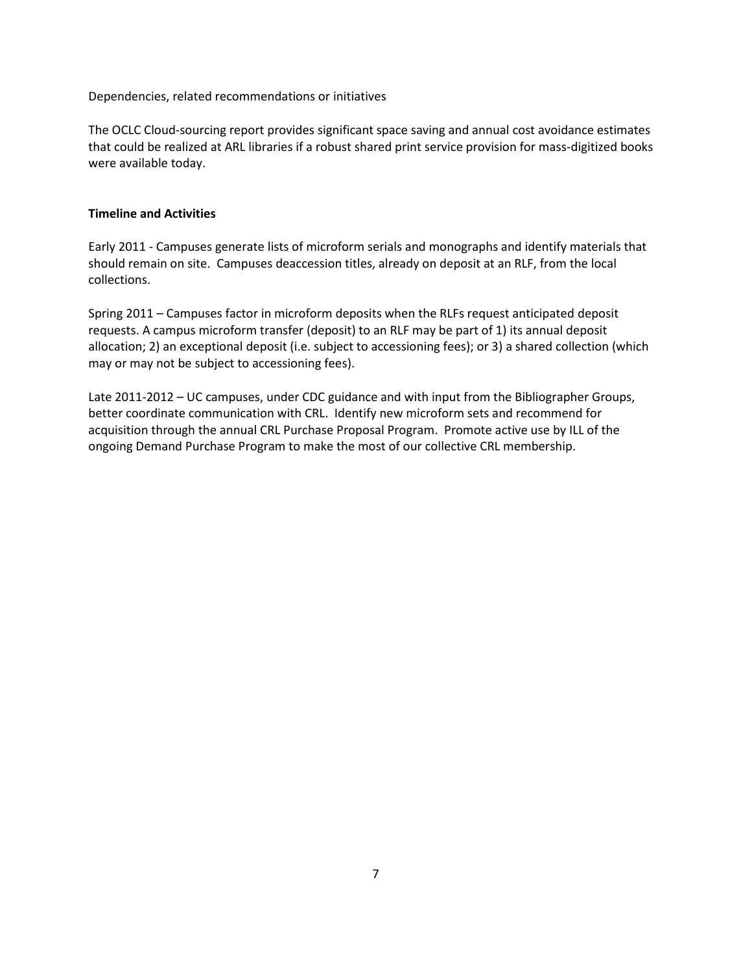Dependencies, related recommendations or initiatives

The OCLC Cloud-sourcing report provides significant space saving and annual cost avoidance estimates that could be realized at ARL libraries if a robust shared print service provision for mass-digitized books were available today.

## **Timeline and Activities**

Early 2011 - Campuses generate lists of microform serials and monographs and identify materials that should remain on site. Campuses deaccession titles, already on deposit at an RLF, from the local collections.

Spring 2011 – Campuses factor in microform deposits when the RLFs request anticipated deposit requests. A campus microform transfer (deposit) to an RLF may be part of 1) its annual deposit allocation; 2) an exceptional deposit (i.e. subject to accessioning fees); or 3) a shared collection (which may or may not be subject to accessioning fees).

Late 2011-2012 – UC campuses, under CDC guidance and with input from the Bibliographer Groups, better coordinate communication with CRL. Identify new microform sets and recommend for acquisition through the annual CRL Purchase Proposal Program. Promote active use by ILL of the ongoing Demand Purchase Program to make the most of our collective CRL membership.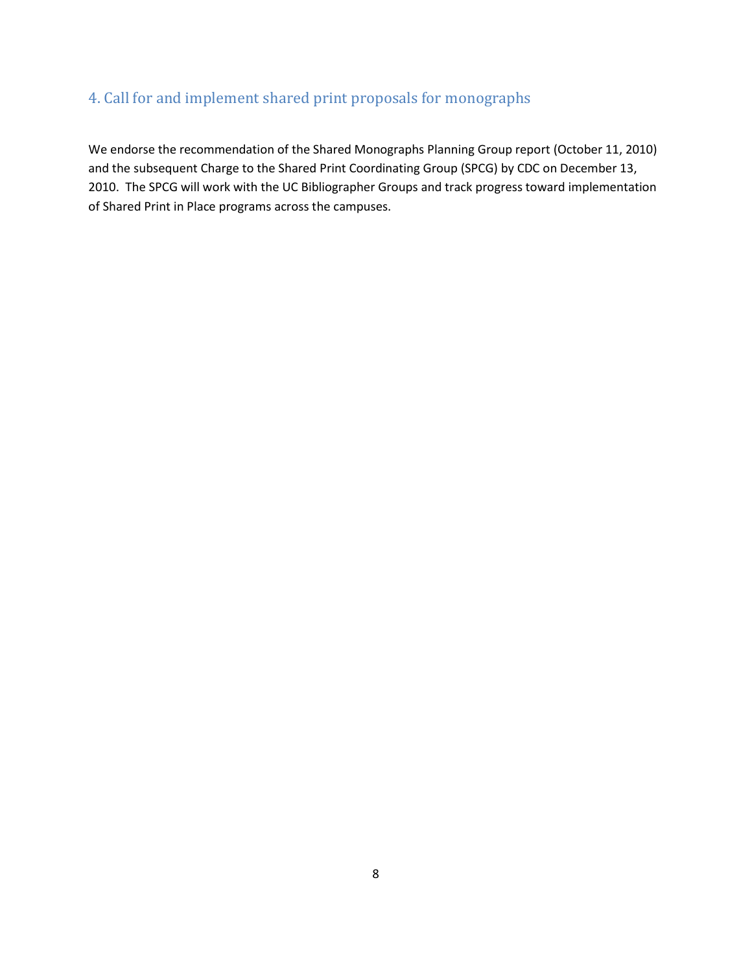## <span id="page-7-0"></span>4. Call for and implement shared print proposals for monographs

We endorse the recommendation of the Shared Monographs Planning Group report (October 11, 2010) and the subsequent Charge to the Shared Print Coordinating Group (SPCG) by CDC on December 13, 2010. The SPCG will work with the UC Bibliographer Groups and track progress toward implementation of Shared Print in Place programs across the campuses.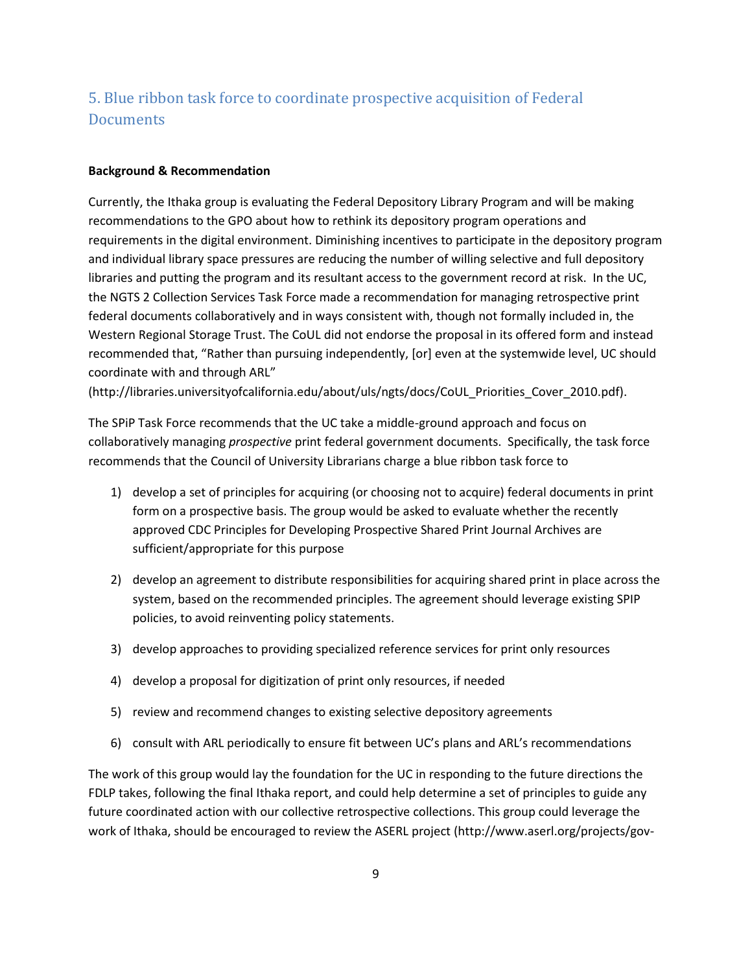## <span id="page-8-0"></span>5. Blue ribbon task force to coordinate prospective acquisition of Federal **Documents**

#### **Background & Recommendation**

Currently, the Ithaka group is evaluating the Federal Depository Library Program and will be making recommendations to the GPO about how to rethink its depository program operations and requirements in the digital environment. Diminishing incentives to participate in the depository program and individual library space pressures are reducing the number of willing selective and full depository libraries and putting the program and its resultant access to the government record at risk. In the UC, the NGTS 2 Collection Services Task Force made a recommendation for managing retrospective print federal documents collaboratively and in ways consistent with, though not formally included in, the Western Regional Storage Trust. The CoUL did not endorse the proposal in its offered form and instead recommended that, "Rather than pursuing independently, [or] even at the systemwide level, UC should coordinate with and through ARL"

(http://libraries.universityofcalifornia.edu/about/uls/ngts/docs/CoUL\_Priorities\_Cover\_2010.pdf).

The SPiP Task Force recommends that the UC take a middle-ground approach and focus on collaboratively managing *prospective* print federal government documents. Specifically, the task force recommends that the Council of University Librarians charge a blue ribbon task force to

- 1) develop a set of principles for acquiring (or choosing not to acquire) federal documents in print form on a prospective basis. The group would be asked to evaluate whether the recently approved CDC Principles for Developing Prospective Shared Print Journal Archives are sufficient/appropriate for this purpose
- 2) develop an agreement to distribute responsibilities for acquiring shared print in place across the system, based on the recommended principles. The agreement should leverage existing SPIP policies, to avoid reinventing policy statements.
- 3) develop approaches to providing specialized reference services for print only resources
- 4) develop a proposal for digitization of print only resources, if needed
- 5) review and recommend changes to existing selective depository agreements
- 6) consult with ARL periodically to ensure fit between UC's plans and ARL's recommendations

The work of this group would lay the foundation for the UC in responding to the future directions the FDLP takes, following the final Ithaka report, and could help determine a set of principles to guide any future coordinated action with our collective retrospective collections. This group could leverage the work of Ithaka, should be encouraged to review the ASERL project (http://www.aserl.org/projects/gov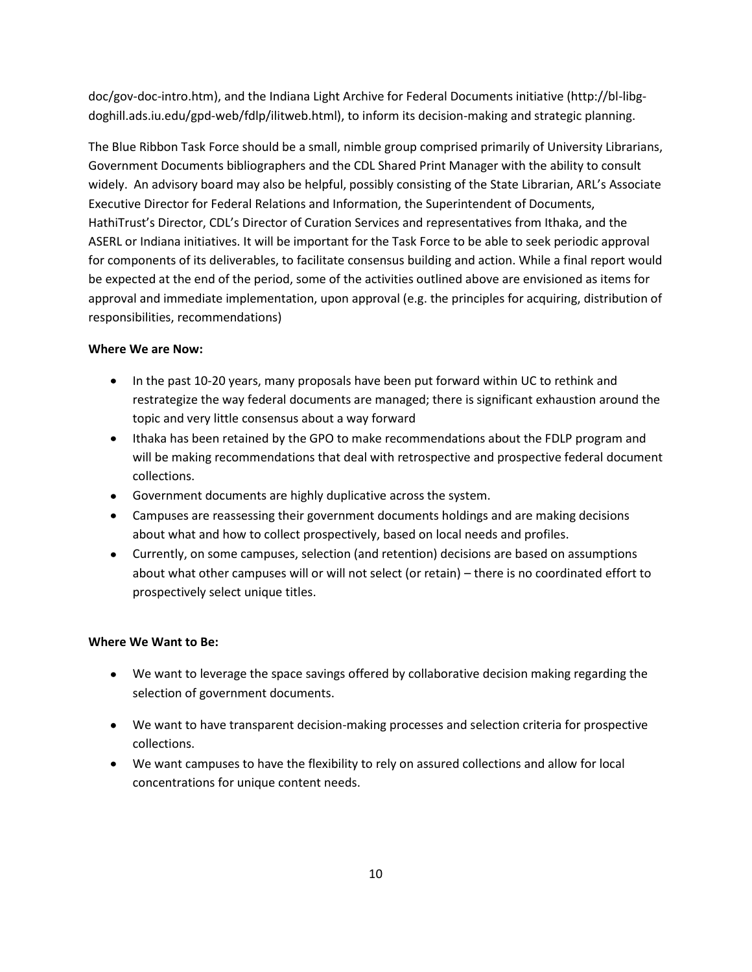doc/gov-doc-intro.htm), and the Indiana Light Archive for Federal Documents initiative (http://bl-libgdoghill.ads.iu.edu/gpd-web/fdlp/ilitweb.html), to inform its decision-making and strategic planning.

The Blue Ribbon Task Force should be a small, nimble group comprised primarily of University Librarians, Government Documents bibliographers and the CDL Shared Print Manager with the ability to consult widely. An advisory board may also be helpful, possibly consisting of the State Librarian, ARL's Associate Executive Director for Federal Relations and Information, the Superintendent of Documents, HathiTrust's Director, CDL's Director of Curation Services and representatives from Ithaka, and the ASERL or Indiana initiatives. It will be important for the Task Force to be able to seek periodic approval for components of its deliverables, to facilitate consensus building and action. While a final report would be expected at the end of the period, some of the activities outlined above are envisioned as items for approval and immediate implementation, upon approval (e.g. the principles for acquiring, distribution of responsibilities, recommendations)

#### **Where We are Now:**

- In the past 10-20 years, many proposals have been put forward within UC to rethink and restrategize the way federal documents are managed; there is significant exhaustion around the topic and very little consensus about a way forward
- Ithaka has been retained by the GPO to make recommendations about the FDLP program and will be making recommendations that deal with retrospective and prospective federal document collections.
- Government documents are highly duplicative across the system.
- Campuses are reassessing their government documents holdings and are making decisions about what and how to collect prospectively, based on local needs and profiles.
- Currently, on some campuses, selection (and retention) decisions are based on assumptions about what other campuses will or will not select (or retain) – there is no coordinated effort to prospectively select unique titles.

## **Where We Want to Be:**

- We want to leverage the space savings offered by collaborative decision making regarding the selection of government documents.
- We want to have transparent decision-making processes and selection criteria for prospective collections.
- We want campuses to have the flexibility to rely on assured collections and allow for local concentrations for unique content needs.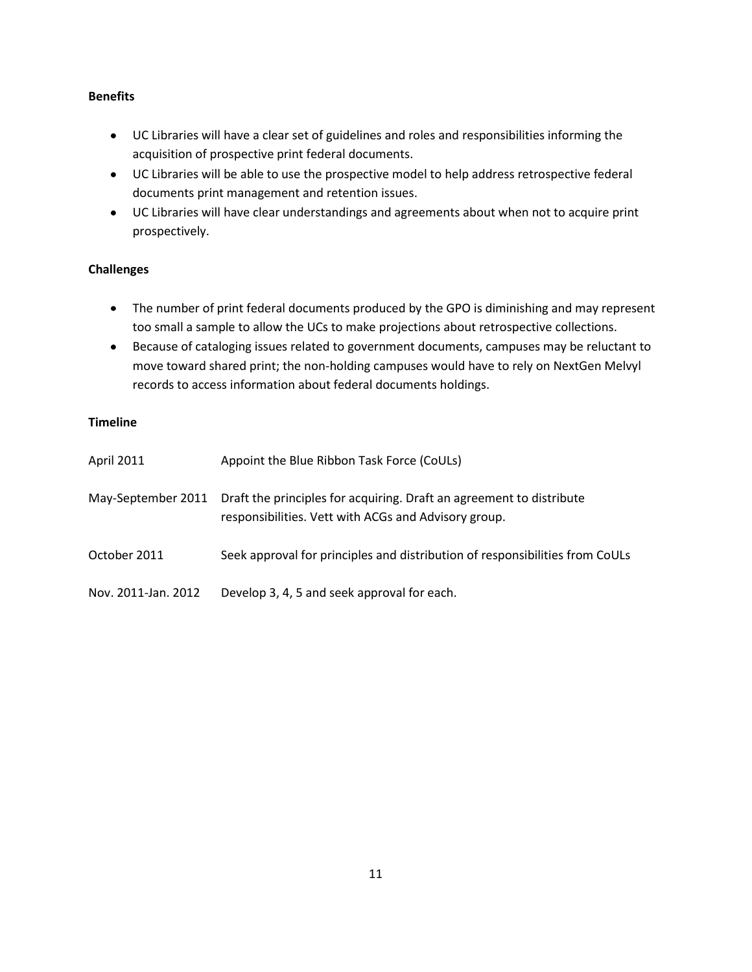## **Benefits**

- UC Libraries will have a clear set of guidelines and roles and responsibilities informing the acquisition of prospective print federal documents.
- UC Libraries will be able to use the prospective model to help address retrospective federal documents print management and retention issues.
- UC Libraries will have clear understandings and agreements about when not to acquire print prospectively.

## **Challenges**

- The number of print federal documents produced by the GPO is diminishing and may represent too small a sample to allow the UCs to make projections about retrospective collections.
- Because of cataloging issues related to government documents, campuses may be reluctant to move toward shared print; the non-holding campuses would have to rely on NextGen Melvyl records to access information about federal documents holdings.

## **Timeline**

| April 2011          | Appoint the Blue Ribbon Task Force (CoULs)                                                                                   |
|---------------------|------------------------------------------------------------------------------------------------------------------------------|
| May-September 2011  | Draft the principles for acquiring. Draft an agreement to distribute<br>responsibilities. Vett with ACGs and Advisory group. |
| October 2011        | Seek approval for principles and distribution of responsibilities from CoULs                                                 |
| Nov. 2011-Jan. 2012 | Develop 3, 4, 5 and seek approval for each.                                                                                  |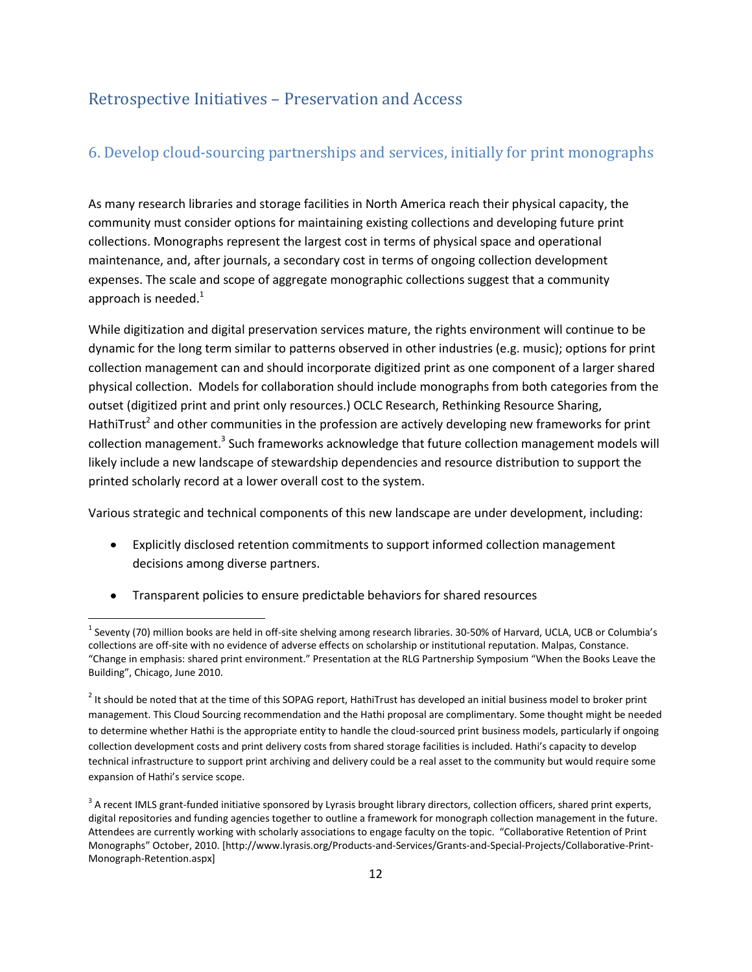## <span id="page-11-0"></span>Retrospective Initiatives – Preservation and Access

## <span id="page-11-1"></span>6. Develop cloud-sourcing partnerships and services, initially for print monographs

As many research libraries and storage facilities in North America reach their physical capacity, the community must consider options for maintaining existing collections and developing future print collections. Monographs represent the largest cost in terms of physical space and operational maintenance, and, after journals, a secondary cost in terms of ongoing collection development expenses. The scale and scope of aggregate monographic collections suggest that a community approach is needed.<sup>1</sup>

While digitization and digital preservation services mature, the rights environment will continue to be dynamic for the long term similar to patterns observed in other industries (e.g. music); options for print collection management can and should incorporate digitized print as one component of a larger shared physical collection. Models for collaboration should include monographs from both categories from the outset (digitized print and print only resources.) OCLC Research, Rethinking Resource Sharing, HathiTrust<sup>2</sup> and other communities in the profession are actively developing new frameworks for print collection management.<sup>3</sup> Such frameworks acknowledge that future collection management models will likely include a new landscape of stewardship dependencies and resource distribution to support the printed scholarly record at a lower overall cost to the system.

Various strategic and technical components of this new landscape are under development, including:

- Explicitly disclosed retention commitments to support informed collection management decisions among diverse partners.
- Transparent policies to ensure predictable behaviors for shared resources

 $^1$  Seventy (70) million books are held in off-site shelving among research libraries. 30-50% of Harvard, UCLA, UCB or Columbia's collections are off-site with no evidence of adverse effects on scholarship or institutional reputation. Malpas, Constance. "Change in emphasis: shared print environment." Presentation at the RLG Partnership Symposium "When the Books Leave the Building", Chicago, June 2010.

 $^2$  It should be noted that at the time of this SOPAG report, HathiTrust has developed an initial business model to broker print management. This Cloud Sourcing recommendation and the Hathi proposal are complimentary. Some thought might be needed to determine whether Hathi is the appropriate entity to handle the cloud-sourced print business models, particularly if ongoing collection development costs and print delivery costs from shared storage facilities is included. Hathi's capacity to develop technical infrastructure to support print archiving and delivery could be a real asset to the community but would require some expansion of Hathi's service scope.

 $^3$  A recent IMLS grant-funded initiative sponsored by Lyrasis brought library directors, collection officers, shared print experts, digital repositories and funding agencies together to outline a framework for monograph collection management in the future. Attendees are currently working with scholarly associations to engage faculty on the topic. "Collaborative Retention of Print Monographs" October, 2010. [http://www.lyrasis.org/Products-and-Services/Grants-and-Special-Projects/Collaborative-Print-Monograph-Retention.aspx]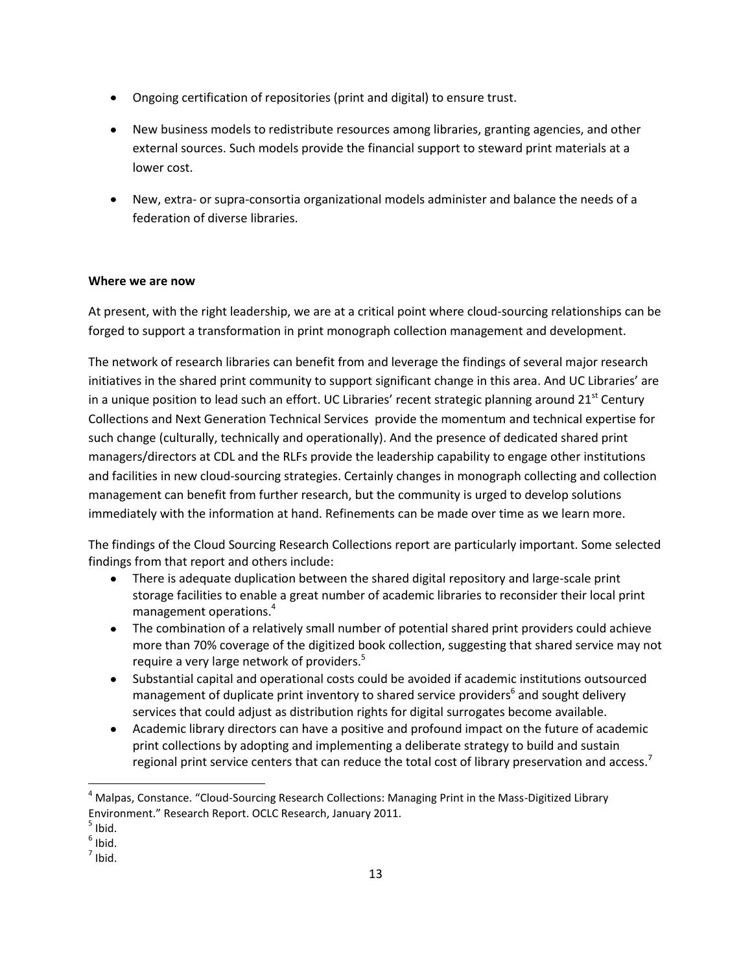- Ongoing certification of repositories (print and digital) to ensure trust.
- New business models to redistribute resources among libraries, granting agencies, and other external sources. Such models provide the financial support to steward print materials at a lower cost.
- New, extra- or supra-consortia organizational models administer and balance the needs of a federation of diverse libraries.

## **Where we are now**

At present, with the right leadership, we are at a critical point where cloud-sourcing relationships can be forged to support a transformation in print monograph collection management and development.

The network of research libraries can benefit from and leverage the findings of several major research initiatives in the shared print community to support significant change in this area. And UC Libraries' are in a unique position to lead such an effort. UC Libraries' recent strategic planning around  $21^{st}$  Century Collections and Next Generation Technical Services provide the momentum and technical expertise for such change (culturally, technically and operationally). And the presence of dedicated shared print managers/directors at CDL and the RLFs provide the leadership capability to engage other institutions and facilities in new cloud-sourcing strategies. Certainly changes in monograph collecting and collection management can benefit from further research, but the community is urged to develop solutions immediately with the information at hand. Refinements can be made over time as we learn more.

The findings of the Cloud Sourcing Research Collections report are particularly important. Some selected findings from that report and others include:

- There is adequate duplication between the shared digital repository and large-scale print storage facilities to enable a great number of academic libraries to reconsider their local print management operations.<sup>4</sup>
- The combination of a relatively small number of potential shared print providers could achieve more than 70% coverage of the digitized book collection, suggesting that shared service may not require a very large network of providers.<sup>5</sup>
- Substantial capital and operational costs could be avoided if academic institutions outsourced management of duplicate print inventory to shared service providers<sup>6</sup> and sought delivery services that could adjust as distribution rights for digital surrogates become available.
- Academic library directors can have a positive and profound impact on the future of academic print collections by adopting and implementing a deliberate strategy to build and sustain regional print service centers that can reduce the total cost of library preservation and access.<sup>7</sup>

<sup>4</sup> Malpas, Constance. "Cloud-Sourcing Research Collections: Managing Print in the Mass-Digitized Library Environment." Research Report. OCLC Research, January 2011.

 $<sup>5</sup>$  Ibid.</sup>

 $<sup>6</sup>$  Ibid.</sup>

 $<sup>7</sup>$  Ibid.</sup>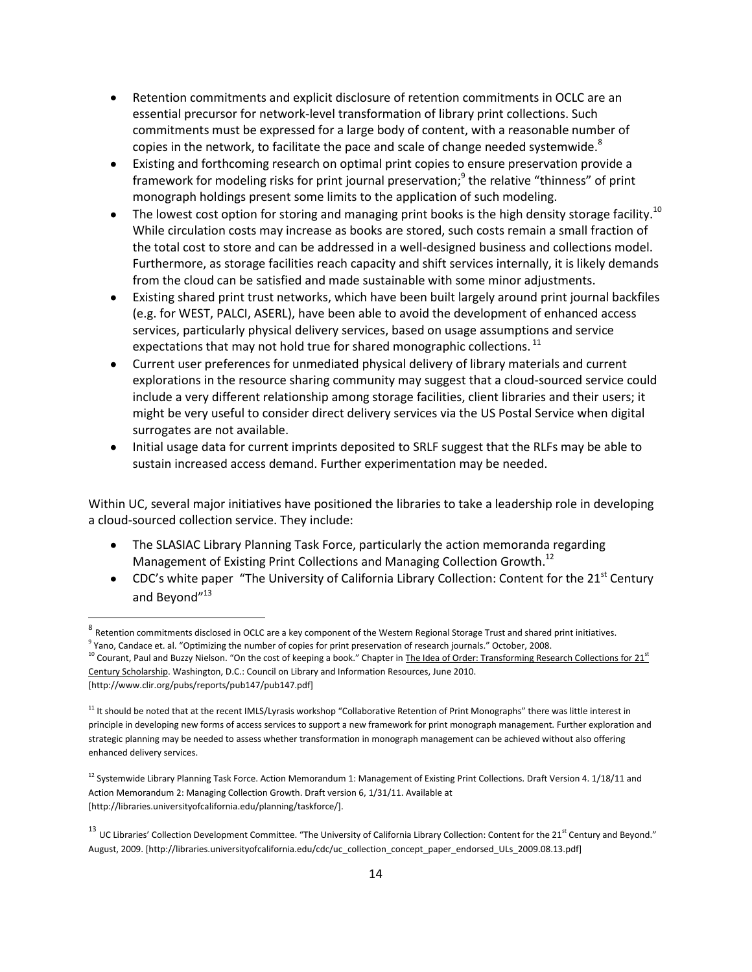- Retention commitments and explicit disclosure of retention commitments in OCLC are an  $\bullet$ essential precursor for network-level transformation of library print collections. Such commitments must be expressed for a large body of content, with a reasonable number of copies in the network, to facilitate the pace and scale of change needed systemwide. $8$
- Existing and forthcoming research on optimal print copies to ensure preservation provide a framework for modeling risks for print journal preservation;<sup>9</sup> the relative "thinness" of print monograph holdings present some limits to the application of such modeling.
- The lowest cost option for storing and managing print books is the high density storage facility.<sup>10</sup>  $\bullet$ While circulation costs may increase as books are stored, such costs remain a small fraction of the total cost to store and can be addressed in a well-designed business and collections model. Furthermore, as storage facilities reach capacity and shift services internally, it is likely demands from the cloud can be satisfied and made sustainable with some minor adjustments.
- Existing shared print trust networks, which have been built largely around print journal backfiles (e.g. for WEST, PALCI, ASERL), have been able to avoid the development of enhanced access services, particularly physical delivery services, based on usage assumptions and service expectations that may not hold true for shared monographic collections.<sup>11</sup>
- Current user preferences for unmediated physical delivery of library materials and current explorations in the resource sharing community may suggest that a cloud-sourced service could include a very different relationship among storage facilities, client libraries and their users; it might be very useful to consider direct delivery services via the US Postal Service when digital surrogates are not available.
- Initial usage data for current imprints deposited to SRLF suggest that the RLFs may be able to sustain increased access demand. Further experimentation may be needed.

Within UC, several major initiatives have positioned the libraries to take a leadership role in developing a cloud-sourced collection service. They include:

- The SLASIAC Library Planning Task Force, particularly the action memoranda regarding  $\bullet$ Management of Existing Print Collections and Managing Collection Growth.<sup>12</sup>
- CDC's white paper "The University of California Library Collection: Content for the  $21<sup>st</sup>$  Century and Beyond"<sup>13</sup>

<sup>&</sup>lt;sup>8</sup> Retention commitments disclosed in OCLC are a key component of the Western Regional Storage Trust and shared print initiatives.

<sup>&</sup>lt;sup>9</sup> Yano, Candace et. al. "Optimizing the number of copies for print preservation of research journals." October, 2008.  $10$  Courant, Paul and Buzzy Nielson. "On the cost of keeping a book." Chapter in The Idea of Order: Transforming Research Collections for  $21<sup>st</sup>$ 

Century Scholarship. Washington, D.C.: Council on Library and Information Resources, June 2010. [http://www.clir.org/pubs/reports/pub147/pub147.pdf]

<sup>&</sup>lt;sup>11</sup> It should be noted that at the recent IMLS/Lyrasis workshop "Collaborative Retention of Print Monographs" there was little interest in principle in developing new forms of access services to support a new framework for print monograph management. Further exploration and strategic planning may be needed to assess whether transformation in monograph management can be achieved without also offering enhanced delivery services.

<sup>&</sup>lt;sup>12</sup> Systemwide Library Planning Task Force. Action Memorandum 1: Management of Existing Print Collections. Draft Version 4. 1/18/11 and Action Memorandum 2: Managing Collection Growth. Draft version 6, 1/31/11. Available at [http://libraries.universityofcalifornia.edu/planning/taskforce/].

<sup>&</sup>lt;sup>13</sup> UC Libraries' Collection Development Committee. "The University of California Library Collection: Content for the 21<sup>st</sup> Century and Beyond." August, 2009. [http://libraries.universityofcalifornia.edu/cdc/uc\_collection\_concept\_paper\_endorsed\_ULs\_2009.08.13.pdf]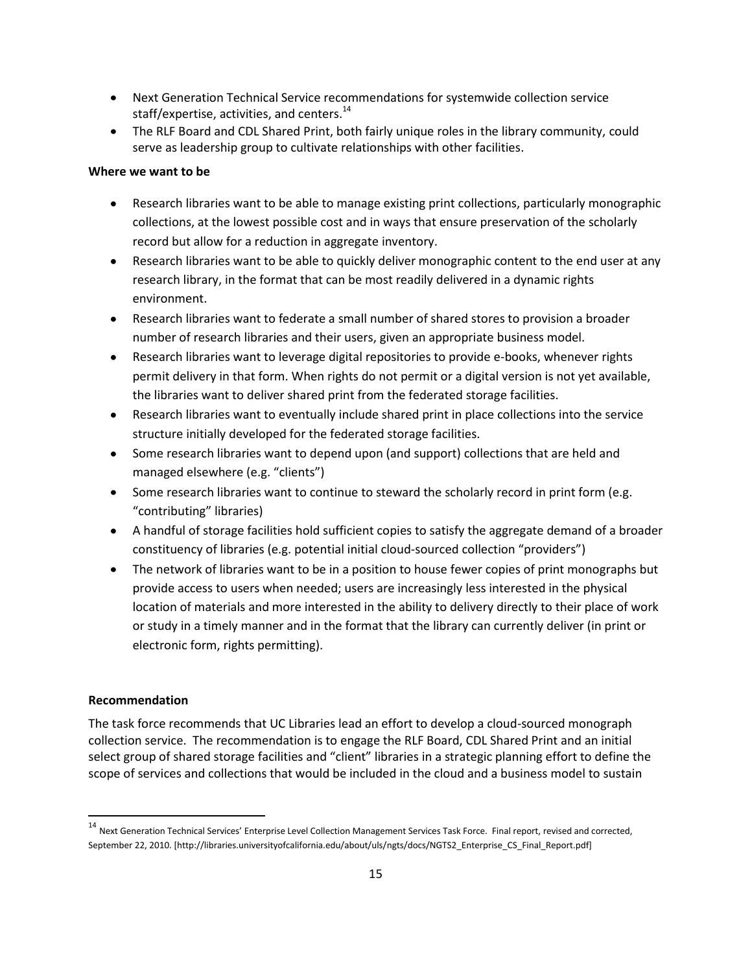- Next Generation Technical Service recommendations for systemwide collection service staff/expertise, activities, and centers.<sup>14</sup>
- The RLF Board and CDL Shared Print, both fairly unique roles in the library community, could serve as leadership group to cultivate relationships with other facilities.

## **Where we want to be**

- Research libraries want to be able to manage existing print collections, particularly monographic collections, at the lowest possible cost and in ways that ensure preservation of the scholarly record but allow for a reduction in aggregate inventory.
- Research libraries want to be able to quickly deliver monographic content to the end user at any research library, in the format that can be most readily delivered in a dynamic rights environment.
- Research libraries want to federate a small number of shared stores to provision a broader number of research libraries and their users, given an appropriate business model.
- Research libraries want to leverage digital repositories to provide e-books, whenever rights permit delivery in that form. When rights do not permit or a digital version is not yet available, the libraries want to deliver shared print from the federated storage facilities.
- Research libraries want to eventually include shared print in place collections into the service structure initially developed for the federated storage facilities.
- Some research libraries want to depend upon (and support) collections that are held and managed elsewhere (e.g. "clients")
- Some research libraries want to continue to steward the scholarly record in print form (e.g. "contributing" libraries)
- A handful of storage facilities hold sufficient copies to satisfy the aggregate demand of a broader constituency of libraries (e.g. potential initial cloud-sourced collection "providers")
- The network of libraries want to be in a position to house fewer copies of print monographs but provide access to users when needed; users are increasingly less interested in the physical location of materials and more interested in the ability to delivery directly to their place of work or study in a timely manner and in the format that the library can currently deliver (in print or electronic form, rights permitting).

## **Recommendation**

 $\overline{\phantom{a}}$ 

The task force recommends that UC Libraries lead an effort to develop a cloud-sourced monograph collection service. The recommendation is to engage the RLF Board, CDL Shared Print and an initial select group of shared storage facilities and "client" libraries in a strategic planning effort to define the scope of services and collections that would be included in the cloud and a business model to sustain

<sup>14</sup> Next Generation Technical Services' Enterprise Level Collection Management Services Task Force. Final report, revised and corrected, September 22, 2010. [http://libraries.universityofcalifornia.edu/about/uls/ngts/docs/NGTS2\_Enterprise\_CS\_Final\_Report.pdf]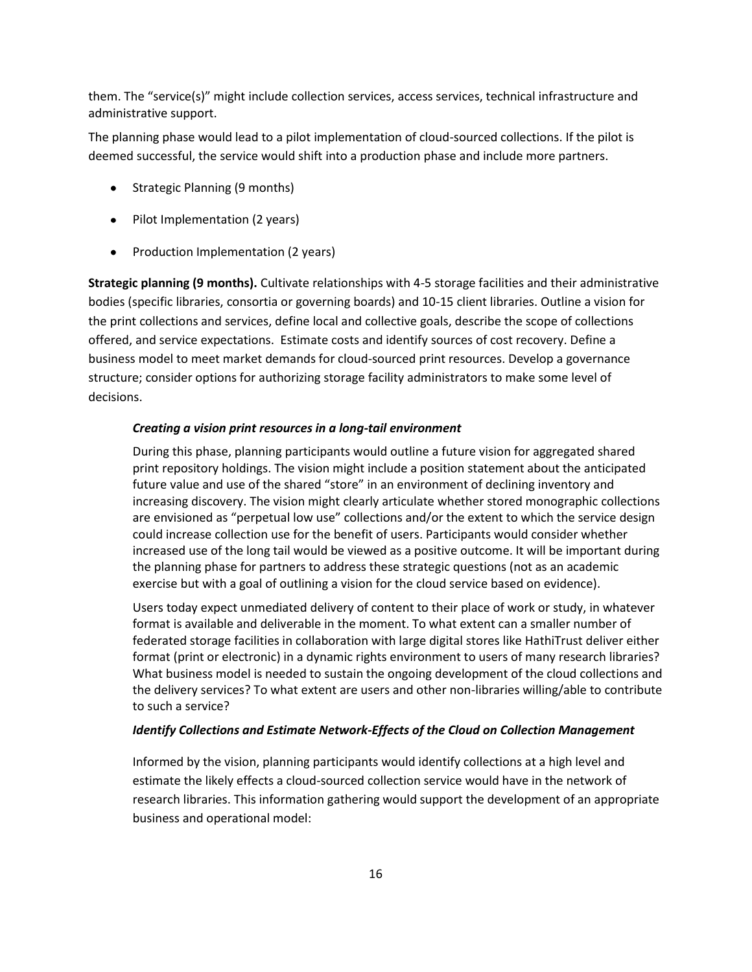them. The "service(s)" might include collection services, access services, technical infrastructure and administrative support.

The planning phase would lead to a pilot implementation of cloud-sourced collections. If the pilot is deemed successful, the service would shift into a production phase and include more partners.

- Strategic Planning (9 months)
- Pilot Implementation (2 years)
- Production Implementation (2 years)

**Strategic planning (9 months).** Cultivate relationships with 4-5 storage facilities and their administrative bodies (specific libraries, consortia or governing boards) and 10-15 client libraries. Outline a vision for the print collections and services, define local and collective goals, describe the scope of collections offered, and service expectations. Estimate costs and identify sources of cost recovery. Define a business model to meet market demands for cloud-sourced print resources. Develop a governance structure; consider options for authorizing storage facility administrators to make some level of decisions.

#### *Creating a vision print resources in a long-tail environment*

During this phase, planning participants would outline a future vision for aggregated shared print repository holdings. The vision might include a position statement about the anticipated future value and use of the shared "store" in an environment of declining inventory and increasing discovery. The vision might clearly articulate whether stored monographic collections are envisioned as "perpetual low use" collections and/or the extent to which the service design could increase collection use for the benefit of users. Participants would consider whether increased use of the long tail would be viewed as a positive outcome. It will be important during the planning phase for partners to address these strategic questions (not as an academic exercise but with a goal of outlining a vision for the cloud service based on evidence).

Users today expect unmediated delivery of content to their place of work or study, in whatever format is available and deliverable in the moment. To what extent can a smaller number of federated storage facilities in collaboration with large digital stores like HathiTrust deliver either format (print or electronic) in a dynamic rights environment to users of many research libraries? What business model is needed to sustain the ongoing development of the cloud collections and the delivery services? To what extent are users and other non-libraries willing/able to contribute to such a service?

#### *Identify Collections and Estimate Network-Effects of the Cloud on Collection Management*

Informed by the vision, planning participants would identify collections at a high level and estimate the likely effects a cloud-sourced collection service would have in the network of research libraries. This information gathering would support the development of an appropriate business and operational model: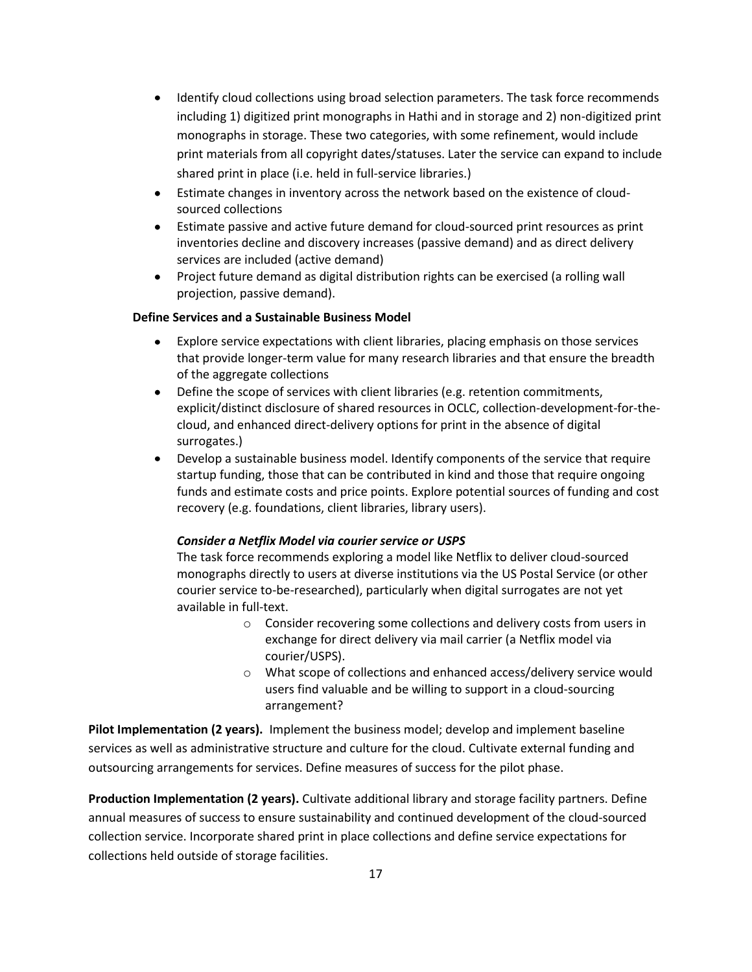- Identify cloud collections using broad selection parameters. The task force recommends  $\bullet$  . including 1) digitized print monographs in Hathi and in storage and 2) non-digitized print monographs in storage. These two categories, with some refinement, would include print materials from all copyright dates/statuses. Later the service can expand to include shared print in place (i.e. held in full-service libraries.)
- $\bullet$ Estimate changes in inventory across the network based on the existence of cloudsourced collections
- Estimate passive and active future demand for cloud-sourced print resources as print  $\bullet$ inventories decline and discovery increases (passive demand) and as direct delivery services are included (active demand)
- Project future demand as digital distribution rights can be exercised (a rolling wall projection, passive demand).

## **Define Services and a Sustainable Business Model**

- $\bullet$ Explore service expectations with client libraries, placing emphasis on those services that provide longer-term value for many research libraries and that ensure the breadth of the aggregate collections
- $\bullet$ Define the scope of services with client libraries (e.g. retention commitments, explicit/distinct disclosure of shared resources in OCLC, collection-development-for-thecloud, and enhanced direct-delivery options for print in the absence of digital surrogates.)
- $\bullet$ Develop a sustainable business model. Identify components of the service that require startup funding, those that can be contributed in kind and those that require ongoing funds and estimate costs and price points. Explore potential sources of funding and cost recovery (e.g. foundations, client libraries, library users).

## *Consider a Netflix Model via courier service or USPS*

The task force recommends exploring a model like Netflix to deliver cloud-sourced monographs directly to users at diverse institutions via the US Postal Service (or other courier service to-be-researched), particularly when digital surrogates are not yet available in full-text.

- o Consider recovering some collections and delivery costs from users in exchange for direct delivery via mail carrier (a Netflix model via courier/USPS).
- o What scope of collections and enhanced access/delivery service would users find valuable and be willing to support in a cloud-sourcing arrangement?

**Pilot Implementation (2 years).** Implement the business model; develop and implement baseline services as well as administrative structure and culture for the cloud. Cultivate external funding and outsourcing arrangements for services. Define measures of success for the pilot phase.

**Production Implementation (2 years).** Cultivate additional library and storage facility partners. Define annual measures of success to ensure sustainability and continued development of the cloud-sourced collection service. Incorporate shared print in place collections and define service expectations for collections held outside of storage facilities.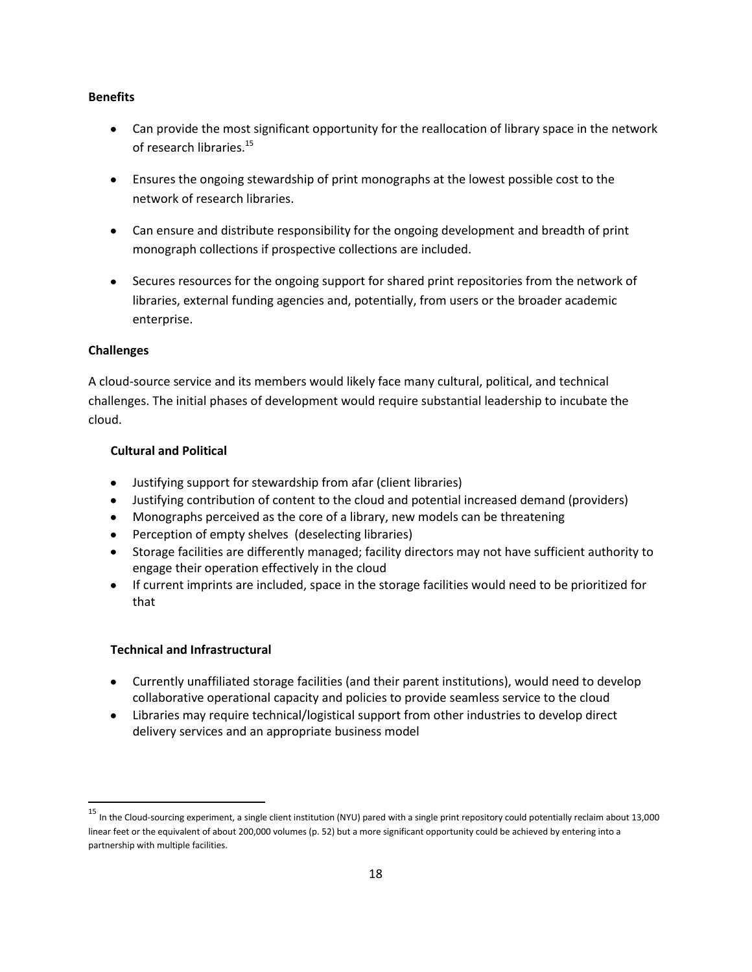### **Benefits**

- Can provide the most significant opportunity for the reallocation of library space in the network of research libraries.<sup>15</sup>
- Ensures the ongoing stewardship of print monographs at the lowest possible cost to the network of research libraries.
- Can ensure and distribute responsibility for the ongoing development and breadth of print monograph collections if prospective collections are included.
- Secures resources for the ongoing support for shared print repositories from the network of libraries, external funding agencies and, potentially, from users or the broader academic enterprise.

## **Challenges**

 $\overline{\phantom{a}}$ 

A cloud-source service and its members would likely face many cultural, political, and technical challenges. The initial phases of development would require substantial leadership to incubate the cloud.

## **Cultural and Political**

- Justifying support for stewardship from afar (client libraries)
- Justifying contribution of content to the cloud and potential increased demand (providers)
- Monographs perceived as the core of a library, new models can be threatening
- Perception of empty shelves (deselecting libraries)
- Storage facilities are differently managed; facility directors may not have sufficient authority to engage their operation effectively in the cloud
- If current imprints are included, space in the storage facilities would need to be prioritized for that

## **Technical and Infrastructural**

- Currently unaffiliated storage facilities (and their parent institutions), would need to develop collaborative operational capacity and policies to provide seamless service to the cloud
- Libraries may require technical/logistical support from other industries to develop direct delivery services and an appropriate business model

<sup>&</sup>lt;sup>15</sup> In the Cloud-sourcing experiment, a single client institution (NYU) pared with a single print repository could potentially reclaim about 13,000 linear feet or the equivalent of about 200,000 volumes (p. 52) but a more significant opportunity could be achieved by entering into a partnership with multiple facilities.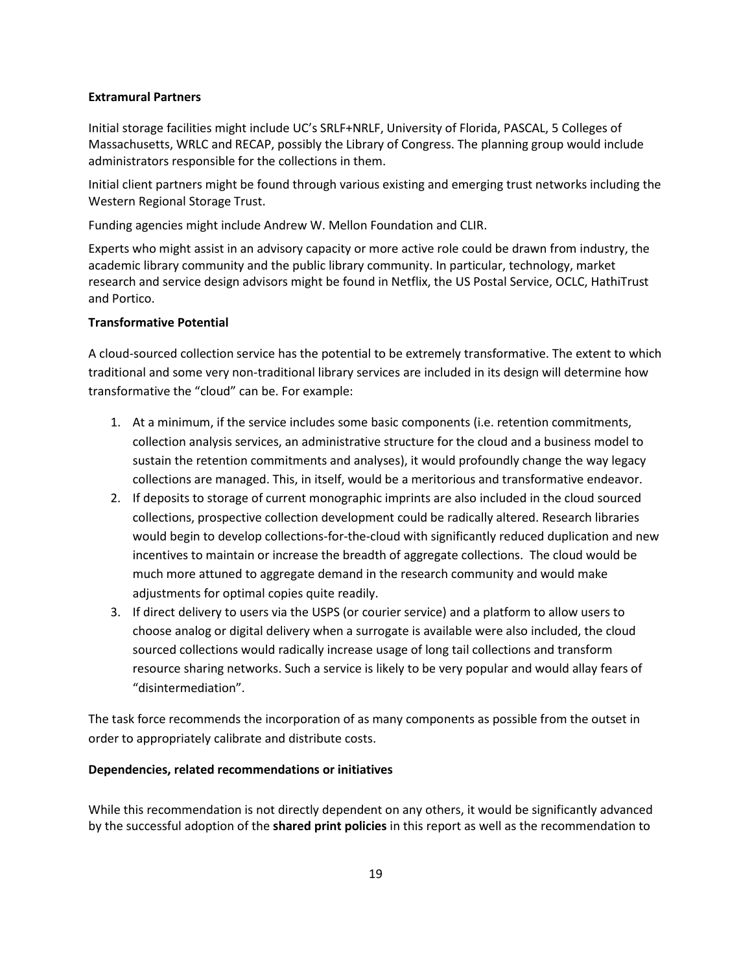#### **Extramural Partners**

Initial storage facilities might include UC's SRLF+NRLF, University of Florida, PASCAL, 5 Colleges of Massachusetts, WRLC and RECAP, possibly the Library of Congress. The planning group would include administrators responsible for the collections in them.

Initial client partners might be found through various existing and emerging trust networks including the Western Regional Storage Trust.

Funding agencies might include Andrew W. Mellon Foundation and CLIR.

Experts who might assist in an advisory capacity or more active role could be drawn from industry, the academic library community and the public library community. In particular, technology, market research and service design advisors might be found in Netflix, the US Postal Service, OCLC, HathiTrust and Portico.

## **Transformative Potential**

A cloud-sourced collection service has the potential to be extremely transformative. The extent to which traditional and some very non-traditional library services are included in its design will determine how transformative the "cloud" can be. For example:

- 1. At a minimum, if the service includes some basic components (i.e. retention commitments, collection analysis services, an administrative structure for the cloud and a business model to sustain the retention commitments and analyses), it would profoundly change the way legacy collections are managed. This, in itself, would be a meritorious and transformative endeavor.
- 2. If deposits to storage of current monographic imprints are also included in the cloud sourced collections, prospective collection development could be radically altered. Research libraries would begin to develop collections-for-the-cloud with significantly reduced duplication and new incentives to maintain or increase the breadth of aggregate collections. The cloud would be much more attuned to aggregate demand in the research community and would make adjustments for optimal copies quite readily.
- 3. If direct delivery to users via the USPS (or courier service) and a platform to allow users to choose analog or digital delivery when a surrogate is available were also included, the cloud sourced collections would radically increase usage of long tail collections and transform resource sharing networks. Such a service is likely to be very popular and would allay fears of "disintermediation".

The task force recommends the incorporation of as many components as possible from the outset in order to appropriately calibrate and distribute costs.

## **Dependencies, related recommendations or initiatives**

While this recommendation is not directly dependent on any others, it would be significantly advanced by the successful adoption of the **shared print policies** in this report as well as the recommendation to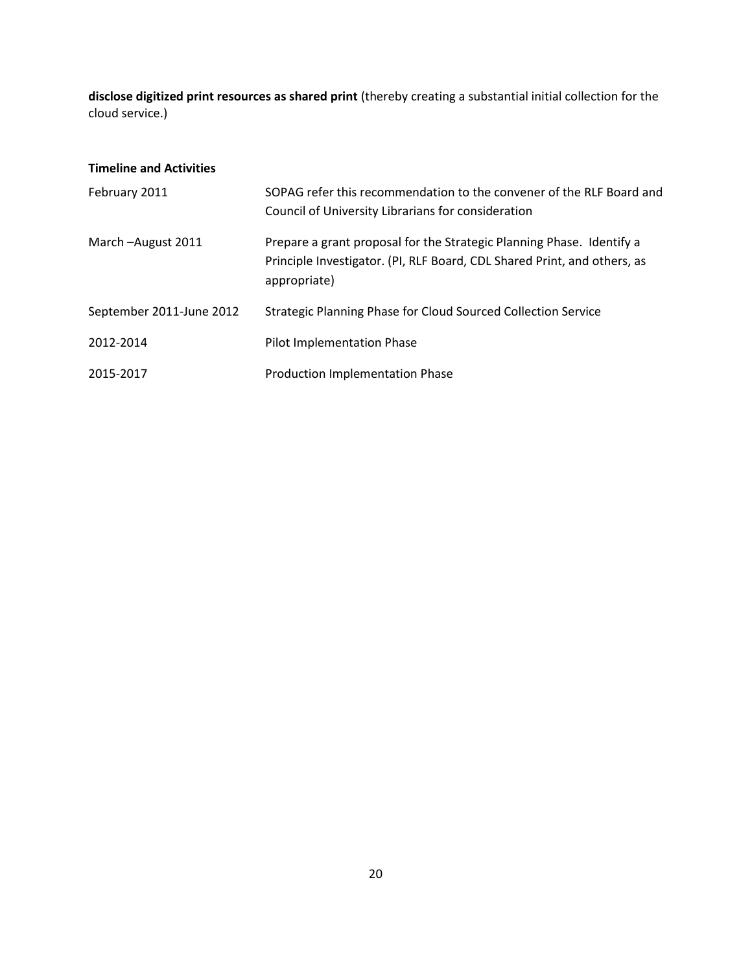**disclose digitized print resources as shared print** (thereby creating a substantial initial collection for the cloud service.)

| <b>Timeline and Activities</b> |                                                                                                                                                                   |
|--------------------------------|-------------------------------------------------------------------------------------------------------------------------------------------------------------------|
| February 2011                  | SOPAG refer this recommendation to the convener of the RLF Board and<br>Council of University Librarians for consideration                                        |
| March-August 2011              | Prepare a grant proposal for the Strategic Planning Phase. Identify a<br>Principle Investigator. (PI, RLF Board, CDL Shared Print, and others, as<br>appropriate) |
| September 2011-June 2012       | Strategic Planning Phase for Cloud Sourced Collection Service                                                                                                     |
| 2012-2014                      | Pilot Implementation Phase                                                                                                                                        |
| 2015-2017                      | Production Implementation Phase                                                                                                                                   |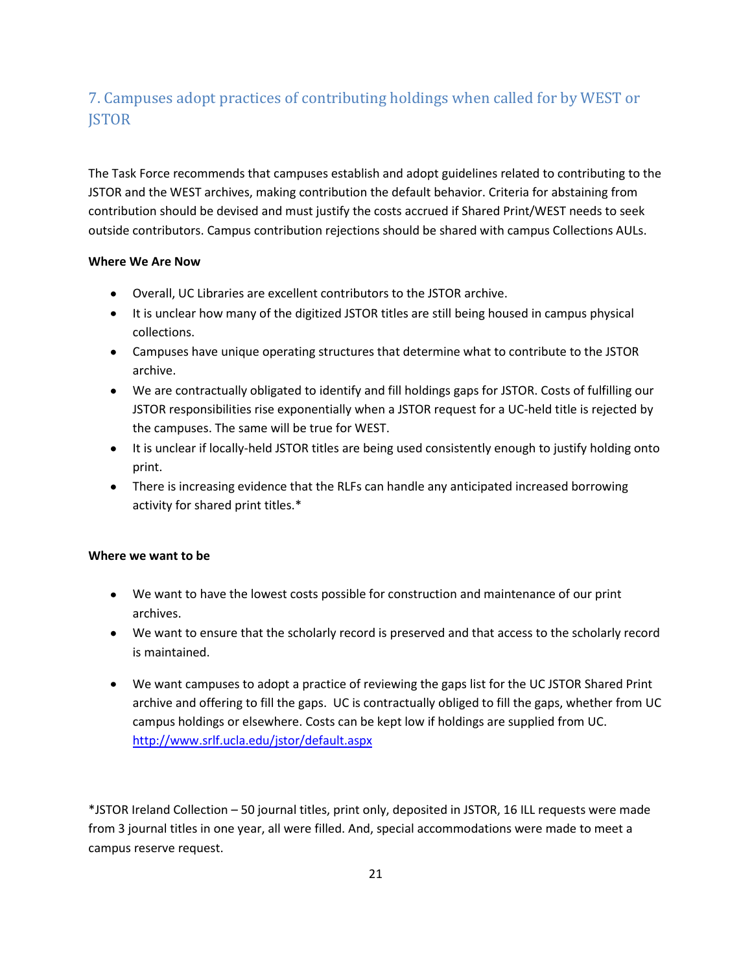## <span id="page-20-0"></span>7. Campuses adopt practices of contributing holdings when called for by WEST or **JSTOR**

The Task Force recommends that campuses establish and adopt guidelines related to contributing to the JSTOR and the WEST archives, making contribution the default behavior. Criteria for abstaining from contribution should be devised and must justify the costs accrued if Shared Print/WEST needs to seek outside contributors. Campus contribution rejections should be shared with campus Collections AULs.

## **Where We Are Now**

- Overall, UC Libraries are excellent contributors to the JSTOR archive.
- It is unclear how many of the digitized JSTOR titles are still being housed in campus physical collections.
- Campuses have unique operating structures that determine what to contribute to the JSTOR archive.
- We are contractually obligated to identify and fill holdings gaps for JSTOR. Costs of fulfilling our JSTOR responsibilities rise exponentially when a JSTOR request for a UC-held title is rejected by the campuses. The same will be true for WEST.
- It is unclear if locally-held JSTOR titles are being used consistently enough to justify holding onto print.
- There is increasing evidence that the RLFs can handle any anticipated increased borrowing activity for shared print titles.\*

## **Where we want to be**

- We want to have the lowest costs possible for construction and maintenance of our print archives.
- We want to ensure that the scholarly record is preserved and that access to the scholarly record is maintained.
- We want campuses to adopt a practice of reviewing the gaps list for the UC JSTOR Shared Print archive and offering to fill the gaps. UC is contractually obliged to fill the gaps, whether from UC campus holdings or elsewhere. Costs can be kept low if holdings are supplied from UC. <http://www.srlf.ucla.edu/jstor/default.aspx>

\*JSTOR Ireland Collection – 50 journal titles, print only, deposited in JSTOR, 16 ILL requests were made from 3 journal titles in one year, all were filled. And, special accommodations were made to meet a campus reserve request.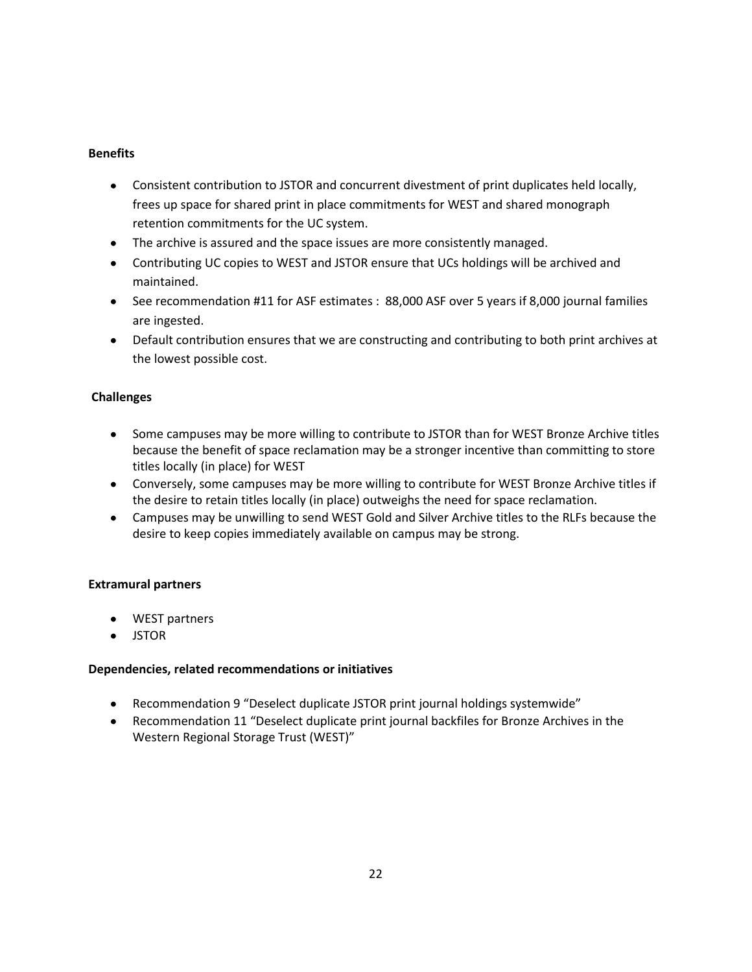## **Benefits**

- Consistent contribution to JSTOR and concurrent divestment of print duplicates held locally, frees up space for shared print in place commitments for WEST and shared monograph retention commitments for the UC system.
- The archive is assured and the space issues are more consistently managed.
- Contributing UC copies to WEST and JSTOR ensure that UCs holdings will be archived and maintained.
- See recommendation #11 for ASF estimates : 88,000 ASF over 5 years if 8,000 journal families are ingested.
- Default contribution ensures that we are constructing and contributing to both print archives at the lowest possible cost.

## **Challenges**

- Some campuses may be more willing to contribute to JSTOR than for WEST Bronze Archive titles because the benefit of space reclamation may be a stronger incentive than committing to store titles locally (in place) for WEST
- Conversely, some campuses may be more willing to contribute for WEST Bronze Archive titles if the desire to retain titles locally (in place) outweighs the need for space reclamation.
- Campuses may be unwilling to send WEST Gold and Silver Archive titles to the RLFs because the desire to keep copies immediately available on campus may be strong.

## **Extramural partners**

- WEST partners
- JSTOR

## **Dependencies, related recommendations or initiatives**

- Recommendation 9 "Deselect duplicate JSTOR print journal holdings systemwide"
- Recommendation 11 "Deselect duplicate print journal backfiles for Bronze Archives in the Western Regional Storage Trust (WEST)"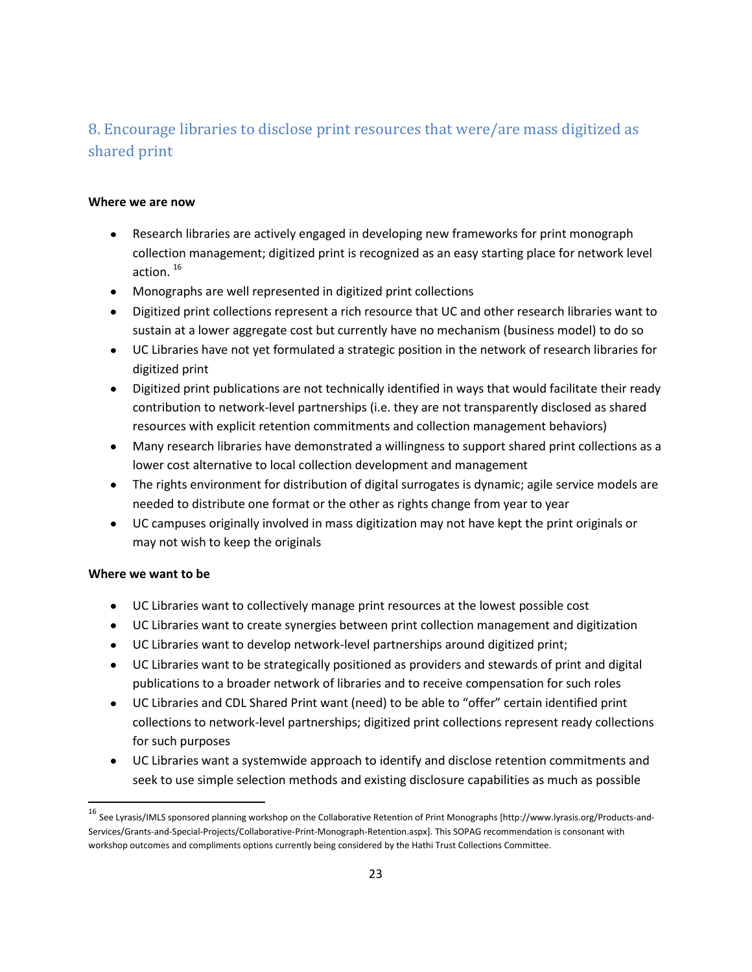## <span id="page-22-0"></span>8. Encourage libraries to disclose print resources that were/are mass digitized as shared print

## **Where we are now**

- Research libraries are actively engaged in developing new frameworks for print monograph  $\bullet$ collection management; digitized print is recognized as an easy starting place for network level action. <sup>16</sup>
- Monographs are well represented in digitized print collections
- Digitized print collections represent a rich resource that UC and other research libraries want to sustain at a lower aggregate cost but currently have no mechanism (business model) to do so
- UC Libraries have not yet formulated a strategic position in the network of research libraries for digitized print
- Digitized print publications are not technically identified in ways that would facilitate their ready contribution to network-level partnerships (i.e. they are not transparently disclosed as shared resources with explicit retention commitments and collection management behaviors)
- Many research libraries have demonstrated a willingness to support shared print collections as a lower cost alternative to local collection development and management
- The rights environment for distribution of digital surrogates is dynamic; agile service models are needed to distribute one format or the other as rights change from year to year
- UC campuses originally involved in mass digitization may not have kept the print originals or may not wish to keep the originals

## **Where we want to be**

- UC Libraries want to collectively manage print resources at the lowest possible cost
- UC Libraries want to create synergies between print collection management and digitization
- UC Libraries want to develop network-level partnerships around digitized print;
- UC Libraries want to be strategically positioned as providers and stewards of print and digital publications to a broader network of libraries and to receive compensation for such roles
- UC Libraries and CDL Shared Print want (need) to be able to "offer" certain identified print collections to network-level partnerships; digitized print collections represent ready collections for such purposes
- UC Libraries want a systemwide approach to identify and disclose retention commitments and seek to use simple selection methods and existing disclosure capabilities as much as possible

<sup>16</sup> See Lyrasis/IMLS sponsored planning workshop on the Collaborative Retention of Print Monographs [http://www.lyrasis.org/Products-and-Services/Grants-and-Special-Projects/Collaborative-Print-Monograph-Retention.aspx]. This SOPAG recommendation is consonant with workshop outcomes and compliments options currently being considered by the Hathi Trust Collections Committee.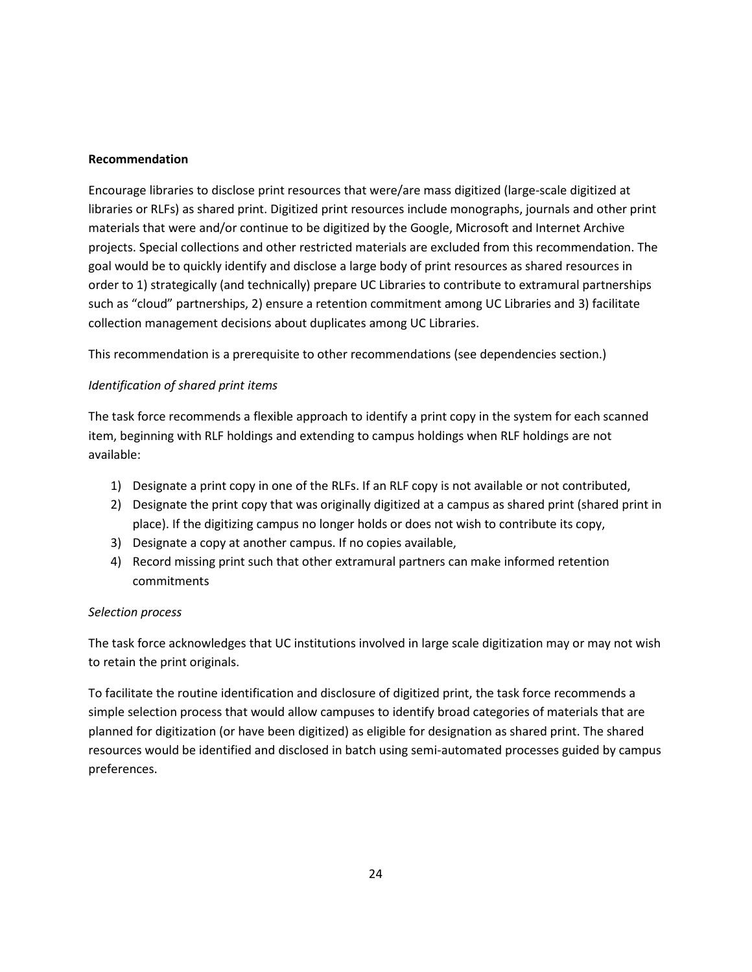## **Recommendation**

Encourage libraries to disclose print resources that were/are mass digitized (large-scale digitized at libraries or RLFs) as shared print. Digitized print resources include monographs, journals and other print materials that were and/or continue to be digitized by the Google, Microsoft and Internet Archive projects. Special collections and other restricted materials are excluded from this recommendation. The goal would be to quickly identify and disclose a large body of print resources as shared resources in order to 1) strategically (and technically) prepare UC Libraries to contribute to extramural partnerships such as "cloud" partnerships, 2) ensure a retention commitment among UC Libraries and 3) facilitate collection management decisions about duplicates among UC Libraries.

This recommendation is a prerequisite to other recommendations (see dependencies section.)

## *Identification of shared print items*

The task force recommends a flexible approach to identify a print copy in the system for each scanned item, beginning with RLF holdings and extending to campus holdings when RLF holdings are not available:

- 1) Designate a print copy in one of the RLFs. If an RLF copy is not available or not contributed,
- 2) Designate the print copy that was originally digitized at a campus as shared print (shared print in place). If the digitizing campus no longer holds or does not wish to contribute its copy,
- 3) Designate a copy at another campus. If no copies available,
- 4) Record missing print such that other extramural partners can make informed retention commitments

## *Selection process*

The task force acknowledges that UC institutions involved in large scale digitization may or may not wish to retain the print originals.

To facilitate the routine identification and disclosure of digitized print, the task force recommends a simple selection process that would allow campuses to identify broad categories of materials that are planned for digitization (or have been digitized) as eligible for designation as shared print. The shared resources would be identified and disclosed in batch using semi-automated processes guided by campus preferences.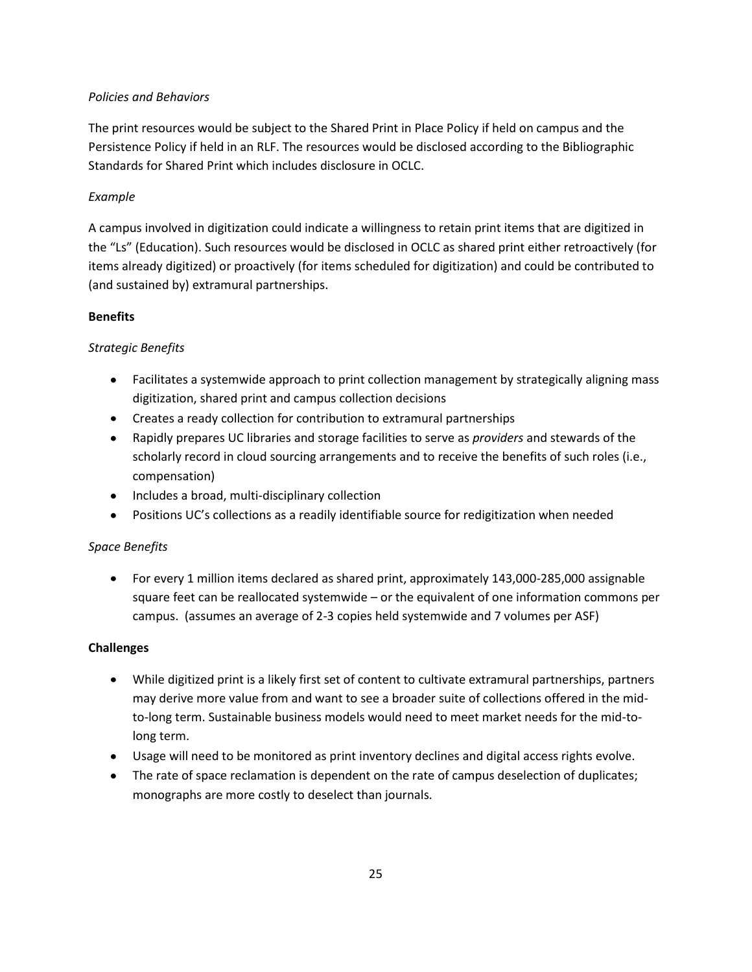## *Policies and Behaviors*

The print resources would be subject to the Shared Print in Place Policy if held on campus and the Persistence Policy if held in an RLF. The resources would be disclosed according to the Bibliographic Standards for Shared Print which includes disclosure in OCLC.

## *Example*

A campus involved in digitization could indicate a willingness to retain print items that are digitized in the "Ls" (Education). Such resources would be disclosed in OCLC as shared print either retroactively (for items already digitized) or proactively (for items scheduled for digitization) and could be contributed to (and sustained by) extramural partnerships.

## **Benefits**

## *Strategic Benefits*

- Facilitates a systemwide approach to print collection management by strategically aligning mass digitization, shared print and campus collection decisions
- Creates a ready collection for contribution to extramural partnerships
- Rapidly prepares UC libraries and storage facilities to serve as *providers* and stewards of the scholarly record in cloud sourcing arrangements and to receive the benefits of such roles (i.e., compensation)
- Includes a broad, multi-disciplinary collection
- Positions UC's collections as a readily identifiable source for redigitization when needed

## *Space Benefits*

For every 1 million items declared as shared print, approximately 143,000-285,000 assignable square feet can be reallocated systemwide – or the equivalent of one information commons per campus. (assumes an average of 2-3 copies held systemwide and 7 volumes per ASF)

## **Challenges**

- While digitized print is a likely first set of content to cultivate extramural partnerships, partners may derive more value from and want to see a broader suite of collections offered in the midto-long term. Sustainable business models would need to meet market needs for the mid-tolong term.
- Usage will need to be monitored as print inventory declines and digital access rights evolve.
- The rate of space reclamation is dependent on the rate of campus deselection of duplicates; monographs are more costly to deselect than journals.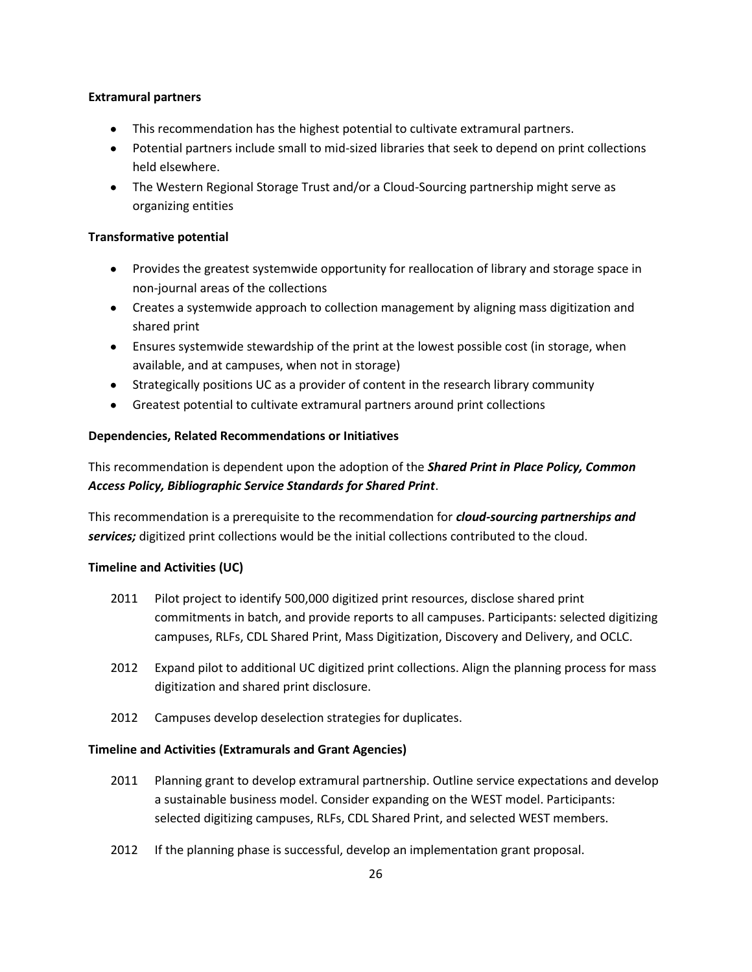### **Extramural partners**

- This recommendation has the highest potential to cultivate extramural partners.
- Potential partners include small to mid-sized libraries that seek to depend on print collections held elsewhere.
- The Western Regional Storage Trust and/or a Cloud-Sourcing partnership might serve as organizing entities

## **Transformative potential**

- Provides the greatest systemwide opportunity for reallocation of library and storage space in non-journal areas of the collections
- Creates a systemwide approach to collection management by aligning mass digitization and shared print
- Ensures systemwide stewardship of the print at the lowest possible cost (in storage, when available, and at campuses, when not in storage)
- Strategically positions UC as a provider of content in the research library community
- Greatest potential to cultivate extramural partners around print collections

## **Dependencies, Related Recommendations or Initiatives**

This recommendation is dependent upon the adoption of the *Shared Print in Place Policy, Common Access Policy, Bibliographic Service Standards for Shared Print*.

This recommendation is a prerequisite to the recommendation for *cloud-sourcing partnerships and services;* digitized print collections would be the initial collections contributed to the cloud.

## **Timeline and Activities (UC)**

- 2011 Pilot project to identify 500,000 digitized print resources, disclose shared print commitments in batch, and provide reports to all campuses. Participants: selected digitizing campuses, RLFs, CDL Shared Print, Mass Digitization, Discovery and Delivery, and OCLC.
- 2012 Expand pilot to additional UC digitized print collections. Align the planning process for mass digitization and shared print disclosure.
- 2012 Campuses develop deselection strategies for duplicates.

#### **Timeline and Activities (Extramurals and Grant Agencies)**

- 2011 Planning grant to develop extramural partnership. Outline service expectations and develop a sustainable business model. Consider expanding on the WEST model. Participants: selected digitizing campuses, RLFs, CDL Shared Print, and selected WEST members.
- 2012 If the planning phase is successful, develop an implementation grant proposal.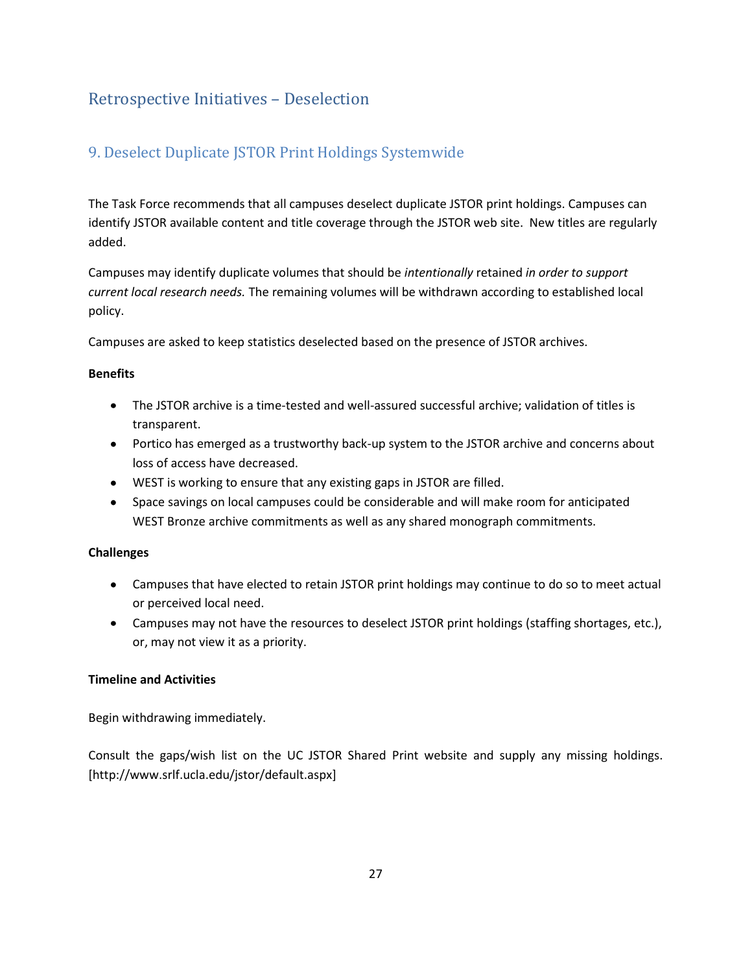## <span id="page-26-0"></span>Retrospective Initiatives – Deselection

## <span id="page-26-1"></span>9. Deselect Duplicate JSTOR Print Holdings Systemwide

The Task Force recommends that all campuses deselect duplicate JSTOR print holdings. Campuses can identify JSTOR available content and title coverage through the JSTOR web site. New titles are regularly added.

Campuses may identify duplicate volumes that should be *intentionally* retained *in order to support current local research needs.* The remaining volumes will be withdrawn according to established local policy.

Campuses are asked to keep statistics deselected based on the presence of JSTOR archives.

## **Benefits**

- The JSTOR archive is a time-tested and well-assured successful archive; validation of titles is transparent.
- Portico has emerged as a trustworthy back-up system to the JSTOR archive and concerns about loss of access have decreased.
- WEST is working to ensure that any existing gaps in JSTOR are filled.
- Space savings on local campuses could be considerable and will make room for anticipated WEST Bronze archive commitments as well as any shared monograph commitments.

## **Challenges**

- Campuses that have elected to retain JSTOR print holdings may continue to do so to meet actual or perceived local need.
- Campuses may not have the resources to deselect JSTOR print holdings (staffing shortages, etc.), or, may not view it as a priority.

## **Timeline and Activities**

Begin withdrawing immediately.

Consult the gaps/wish list on the UC JSTOR Shared Print website and supply any missing holdings. [http://www.srlf.ucla.edu/jstor/default.aspx]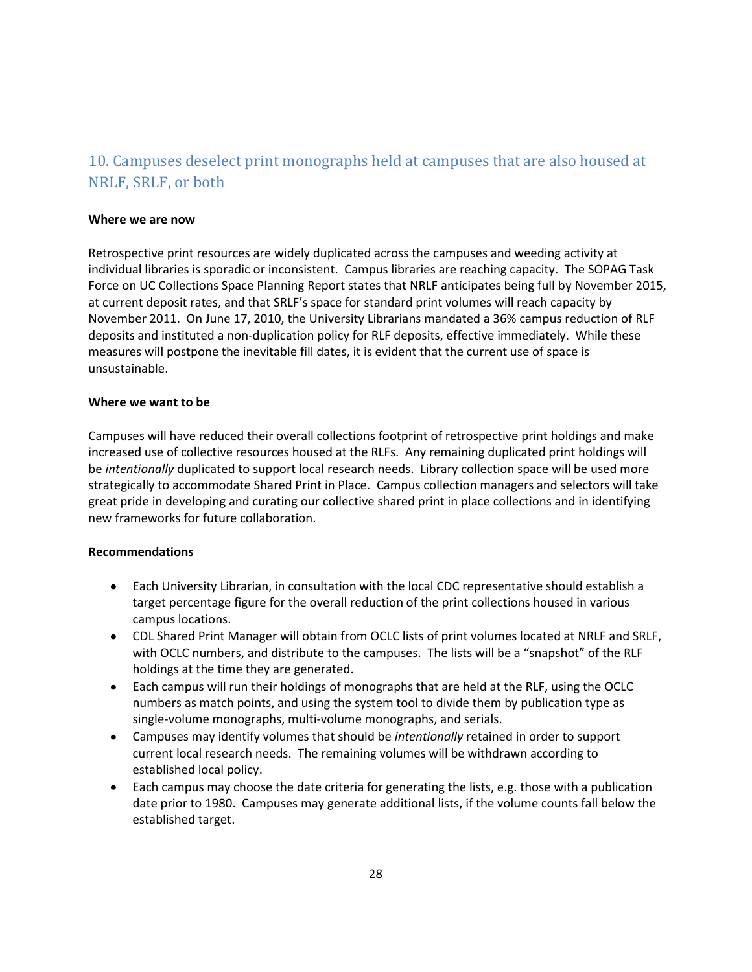## <span id="page-27-0"></span>10. Campuses deselect print monographs held at campuses that are also housed at NRLF, SRLF, or both

#### **Where we are now**

Retrospective print resources are widely duplicated across the campuses and weeding activity at individual libraries is sporadic or inconsistent. Campus libraries are reaching capacity. The SOPAG Task Force on UC Collections Space Planning Report states that NRLF anticipates being full by November 2015, at current deposit rates, and that SRLF's space for standard print volumes will reach capacity by November 2011. On June 17, 2010, the University Librarians mandated a 36% campus reduction of RLF deposits and instituted a non-duplication policy for RLF deposits, effective immediately. While these measures will postpone the inevitable fill dates, it is evident that the current use of space is unsustainable.

#### **Where we want to be**

Campuses will have reduced their overall collections footprint of retrospective print holdings and make increased use of collective resources housed at the RLFs. Any remaining duplicated print holdings will be *intentionally* duplicated to support local research needs. Library collection space will be used more strategically to accommodate Shared Print in Place. Campus collection managers and selectors will take great pride in developing and curating our collective shared print in place collections and in identifying new frameworks for future collaboration.

#### **Recommendations**

- Each University Librarian, in consultation with the local CDC representative should establish a target percentage figure for the overall reduction of the print collections housed in various campus locations.
- CDL Shared Print Manager will obtain from OCLC lists of print volumes located at NRLF and SRLF, with OCLC numbers, and distribute to the campuses. The lists will be a "snapshot" of the RLF holdings at the time they are generated.
- Each campus will run their holdings of monographs that are held at the RLF, using the OCLC numbers as match points, and using the system tool to divide them by publication type as single-volume monographs, multi-volume monographs, and serials.
- Campuses may identify volumes that should be *intentionally* retained in order to support current local research needs. The remaining volumes will be withdrawn according to established local policy.
- Each campus may choose the date criteria for generating the lists, e.g. those with a publication date prior to 1980. Campuses may generate additional lists, if the volume counts fall below the established target.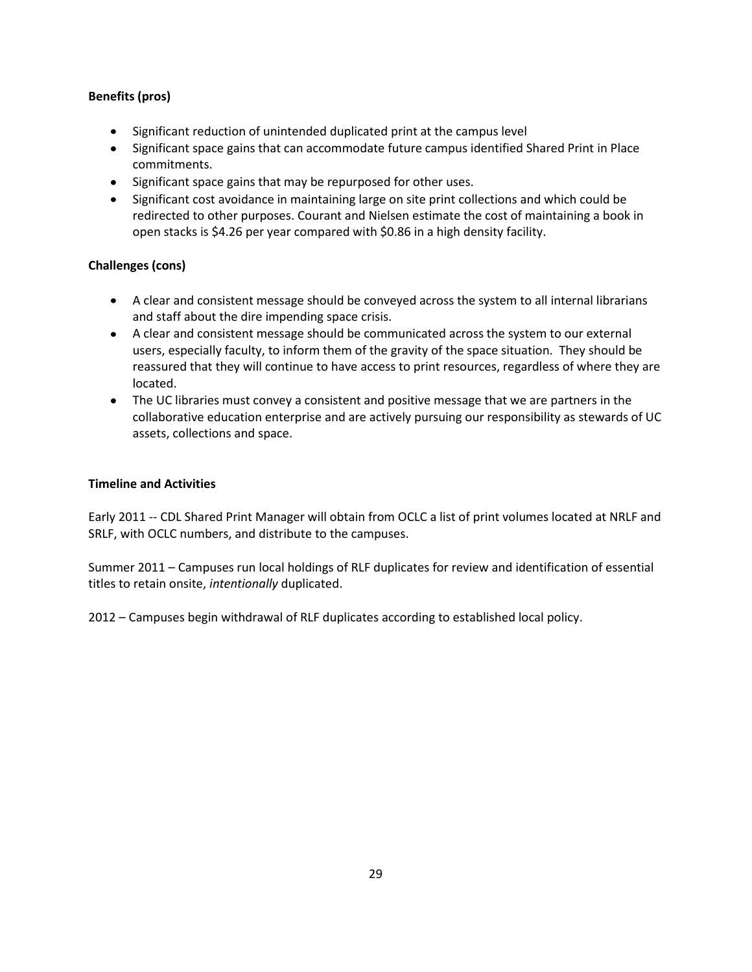## **Benefits (pros)**

- Significant reduction of unintended duplicated print at the campus level
- Significant space gains that can accommodate future campus identified Shared Print in Place commitments.
- Significant space gains that may be repurposed for other uses.
- Significant cost avoidance in maintaining large on site print collections and which could be redirected to other purposes. Courant and Nielsen estimate the cost of maintaining a book in open stacks is \$4.26 per year compared with \$0.86 in a high density facility.

## **Challenges (cons)**

- A clear and consistent message should be conveyed across the system to all internal librarians and staff about the dire impending space crisis.
- A clear and consistent message should be communicated across the system to our external users, especially faculty, to inform them of the gravity of the space situation. They should be reassured that they will continue to have access to print resources, regardless of where they are located.
- The UC libraries must convey a consistent and positive message that we are partners in the collaborative education enterprise and are actively pursuing our responsibility as stewards of UC assets, collections and space.

## **Timeline and Activities**

Early 2011 -- CDL Shared Print Manager will obtain from OCLC a list of print volumes located at NRLF and SRLF, with OCLC numbers, and distribute to the campuses.

Summer 2011 – Campuses run local holdings of RLF duplicates for review and identification of essential titles to retain onsite, *intentionally* duplicated.

2012 – Campuses begin withdrawal of RLF duplicates according to established local policy.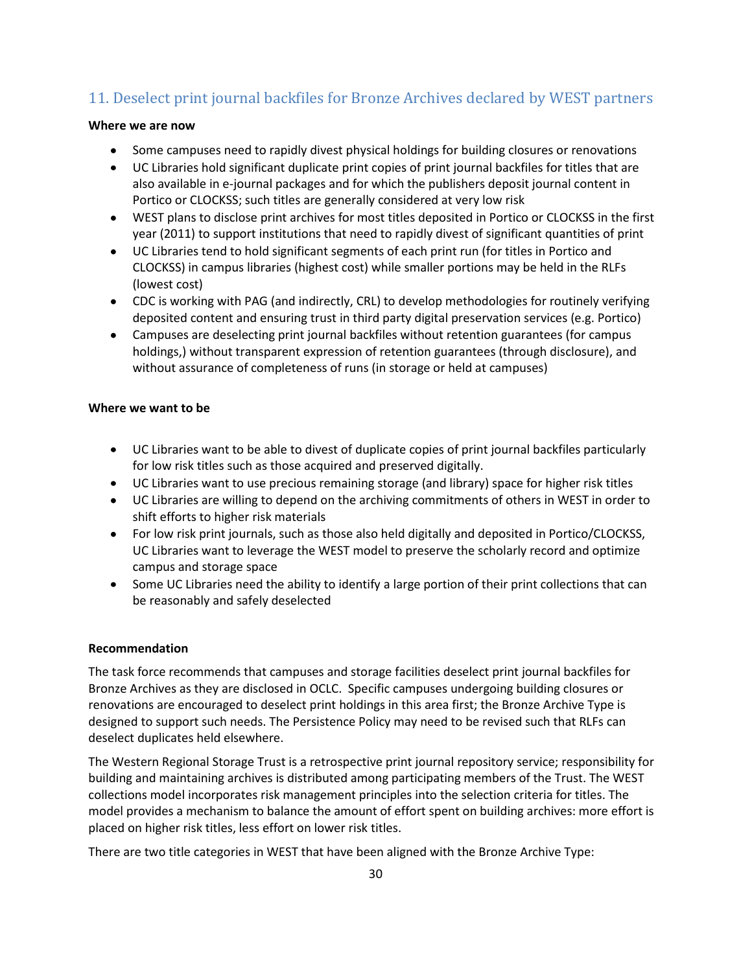## <span id="page-29-0"></span>11. Deselect print journal backfiles for Bronze Archives declared by WEST partners

## **Where we are now**

- Some campuses need to rapidly divest physical holdings for building closures or renovations
- UC Libraries hold significant duplicate print copies of print journal backfiles for titles that are also available in e-journal packages and for which the publishers deposit journal content in Portico or CLOCKSS; such titles are generally considered at very low risk
- WEST plans to disclose print archives for most titles deposited in Portico or CLOCKSS in the first year (2011) to support institutions that need to rapidly divest of significant quantities of print
- UC Libraries tend to hold significant segments of each print run (for titles in Portico and CLOCKSS) in campus libraries (highest cost) while smaller portions may be held in the RLFs (lowest cost)
- CDC is working with PAG (and indirectly, CRL) to develop methodologies for routinely verifying deposited content and ensuring trust in third party digital preservation services (e.g. Portico)
- Campuses are deselecting print journal backfiles without retention guarantees (for campus holdings,) without transparent expression of retention guarantees (through disclosure), and without assurance of completeness of runs (in storage or held at campuses)

## **Where we want to be**

- UC Libraries want to be able to divest of duplicate copies of print journal backfiles particularly for low risk titles such as those acquired and preserved digitally.
- UC Libraries want to use precious remaining storage (and library) space for higher risk titles
- UC Libraries are willing to depend on the archiving commitments of others in WEST in order to shift efforts to higher risk materials
- For low risk print journals, such as those also held digitally and deposited in Portico/CLOCKSS, UC Libraries want to leverage the WEST model to preserve the scholarly record and optimize campus and storage space
- Some UC Libraries need the ability to identify a large portion of their print collections that can be reasonably and safely deselected

## **Recommendation**

The task force recommends that campuses and storage facilities deselect print journal backfiles for Bronze Archives as they are disclosed in OCLC. Specific campuses undergoing building closures or renovations are encouraged to deselect print holdings in this area first; the Bronze Archive Type is designed to support such needs. The Persistence Policy may need to be revised such that RLFs can deselect duplicates held elsewhere.

The Western Regional Storage Trust is a retrospective print journal repository service; responsibility for building and maintaining archives is distributed among participating members of the Trust. The WEST collections model incorporates risk management principles into the selection criteria for titles. The model provides a mechanism to balance the amount of effort spent on building archives: more effort is placed on higher risk titles, less effort on lower risk titles.

There are two title categories in WEST that have been aligned with the Bronze Archive Type: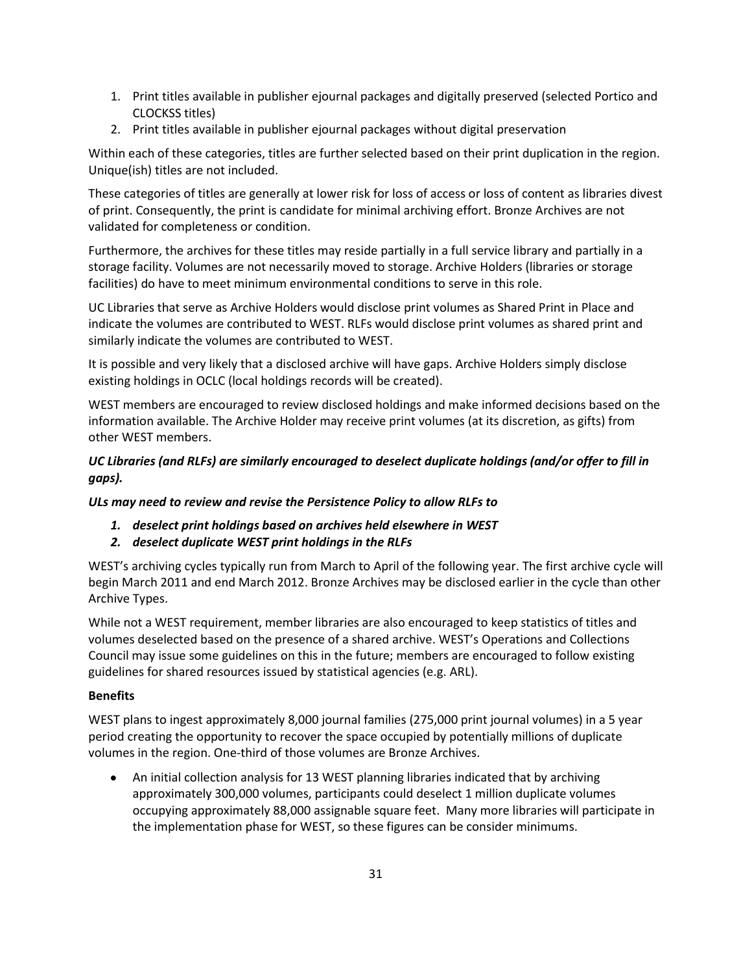- 1. Print titles available in publisher ejournal packages and digitally preserved (selected Portico and CLOCKSS titles)
- 2. Print titles available in publisher ejournal packages without digital preservation

Within each of these categories, titles are further selected based on their print duplication in the region. Unique(ish) titles are not included.

These categories of titles are generally at lower risk for loss of access or loss of content as libraries divest of print. Consequently, the print is candidate for minimal archiving effort. Bronze Archives are not validated for completeness or condition.

Furthermore, the archives for these titles may reside partially in a full service library and partially in a storage facility. Volumes are not necessarily moved to storage. Archive Holders (libraries or storage facilities) do have to meet minimum environmental conditions to serve in this role.

UC Libraries that serve as Archive Holders would disclose print volumes as Shared Print in Place and indicate the volumes are contributed to WEST. RLFs would disclose print volumes as shared print and similarly indicate the volumes are contributed to WEST.

It is possible and very likely that a disclosed archive will have gaps. Archive Holders simply disclose existing holdings in OCLC (local holdings records will be created).

WEST members are encouraged to review disclosed holdings and make informed decisions based on the information available. The Archive Holder may receive print volumes (at its discretion, as gifts) from other WEST members.

## *UC Libraries (and RLFs) are similarly encouraged to deselect duplicate holdings (and/or offer to fill in gaps).*

## *ULs may need to review and revise the Persistence Policy to allow RLFs to*

- *1. deselect print holdings based on archives held elsewhere in WEST*
- *2. deselect duplicate WEST print holdings in the RLFs*

WEST's archiving cycles typically run from March to April of the following year. The first archive cycle will begin March 2011 and end March 2012. Bronze Archives may be disclosed earlier in the cycle than other Archive Types.

While not a WEST requirement, member libraries are also encouraged to keep statistics of titles and volumes deselected based on the presence of a shared archive. WEST's Operations and Collections Council may issue some guidelines on this in the future; members are encouraged to follow existing guidelines for shared resources issued by statistical agencies (e.g. ARL).

## **Benefits**

WEST plans to ingest approximately 8,000 journal families (275,000 print journal volumes) in a 5 year period creating the opportunity to recover the space occupied by potentially millions of duplicate volumes in the region. One-third of those volumes are Bronze Archives.

An initial collection analysis for 13 WEST planning libraries indicated that by archiving approximately 300,000 volumes, participants could deselect 1 million duplicate volumes occupying approximately 88,000 assignable square feet. Many more libraries will participate in the implementation phase for WEST, so these figures can be consider minimums.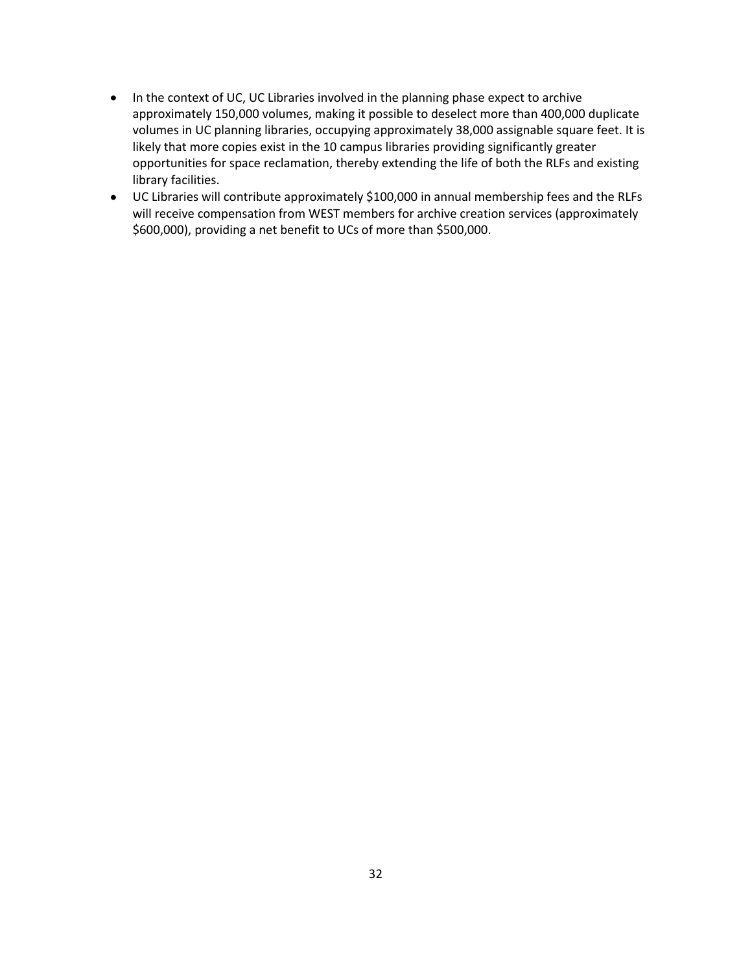- In the context of UC, UC Libraries involved in the planning phase expect to archive approximately 150,000 volumes, making it possible to deselect more than 400,000 duplicate volumes in UC planning libraries, occupying approximately 38,000 assignable square feet. It is likely that more copies exist in the 10 campus libraries providing significantly greater opportunities for space reclamation, thereby extending the life of both the RLFs and existing library facilities.
- UC Libraries will contribute approximately \$100,000 in annual membership fees and the RLFs will receive compensation from WEST members for archive creation services (approximately \$600,000), providing a net benefit to UCs of more than \$500,000.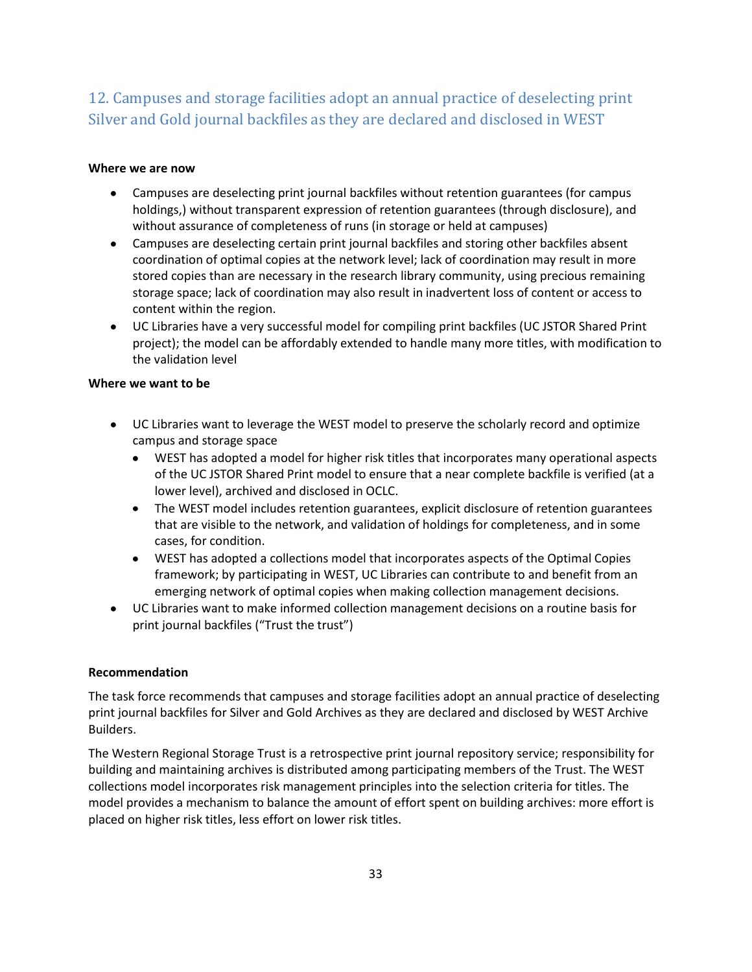<span id="page-32-0"></span>12. Campuses and storage facilities adopt an annual practice of deselecting print Silver and Gold journal backfiles as they are declared and disclosed in WEST

## **Where we are now**

- Campuses are deselecting print journal backfiles without retention guarantees (for campus holdings,) without transparent expression of retention guarantees (through disclosure), and without assurance of completeness of runs (in storage or held at campuses)
- Campuses are deselecting certain print journal backfiles and storing other backfiles absent coordination of optimal copies at the network level; lack of coordination may result in more stored copies than are necessary in the research library community, using precious remaining storage space; lack of coordination may also result in inadvertent loss of content or access to content within the region.
- UC Libraries have a very successful model for compiling print backfiles (UC JSTOR Shared Print project); the model can be affordably extended to handle many more titles, with modification to the validation level

## **Where we want to be**

- UC Libraries want to leverage the WEST model to preserve the scholarly record and optimize campus and storage space
	- WEST has adopted a model for higher risk titles that incorporates many operational aspects of the UC JSTOR Shared Print model to ensure that a near complete backfile is verified (at a lower level), archived and disclosed in OCLC.
	- The WEST model includes retention guarantees, explicit disclosure of retention guarantees that are visible to the network, and validation of holdings for completeness, and in some cases, for condition.
	- WEST has adopted a collections model that incorporates aspects of the Optimal Copies framework; by participating in WEST, UC Libraries can contribute to and benefit from an emerging network of optimal copies when making collection management decisions.
- UC Libraries want to make informed collection management decisions on a routine basis for print journal backfiles ("Trust the trust")

## **Recommendation**

The task force recommends that campuses and storage facilities adopt an annual practice of deselecting print journal backfiles for Silver and Gold Archives as they are declared and disclosed by WEST Archive Builders.

The Western Regional Storage Trust is a retrospective print journal repository service; responsibility for building and maintaining archives is distributed among participating members of the Trust. The WEST collections model incorporates risk management principles into the selection criteria for titles. The model provides a mechanism to balance the amount of effort spent on building archives: more effort is placed on higher risk titles, less effort on lower risk titles.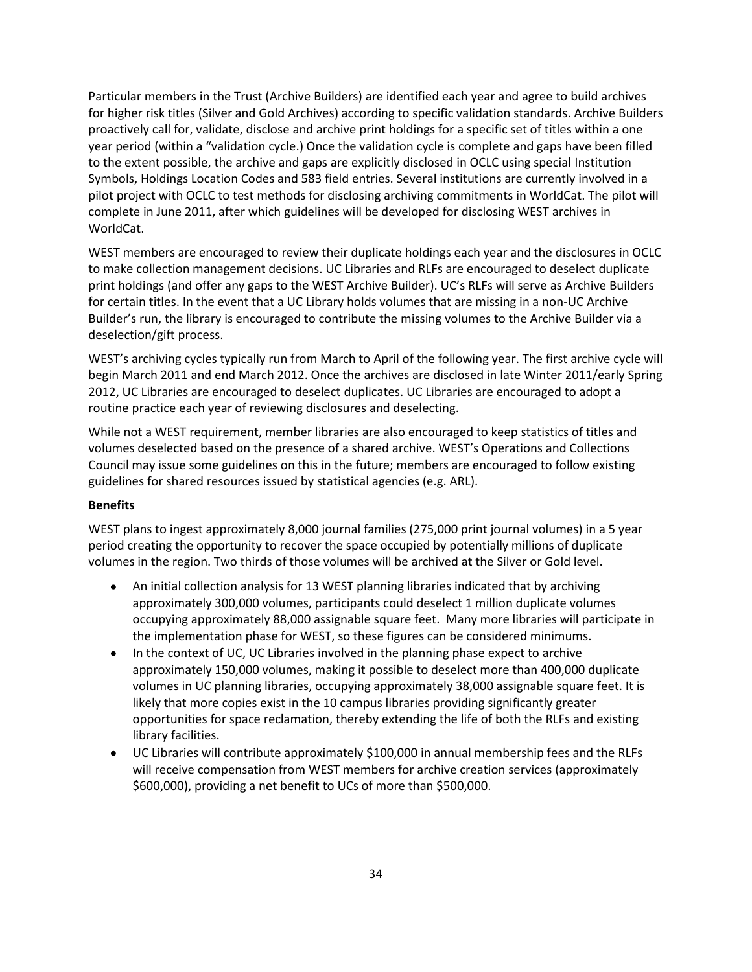Particular members in the Trust (Archive Builders) are identified each year and agree to build archives for higher risk titles (Silver and Gold Archives) according to specific validation standards. Archive Builders proactively call for, validate, disclose and archive print holdings for a specific set of titles within a one year period (within a "validation cycle.) Once the validation cycle is complete and gaps have been filled to the extent possible, the archive and gaps are explicitly disclosed in OCLC using special Institution Symbols, Holdings Location Codes and 583 field entries. Several institutions are currently involved in a pilot project with OCLC to test methods for disclosing archiving commitments in WorldCat. The pilot will complete in June 2011, after which guidelines will be developed for disclosing WEST archives in WorldCat.

WEST members are encouraged to review their duplicate holdings each year and the disclosures in OCLC to make collection management decisions. UC Libraries and RLFs are encouraged to deselect duplicate print holdings (and offer any gaps to the WEST Archive Builder). UC's RLFs will serve as Archive Builders for certain titles. In the event that a UC Library holds volumes that are missing in a non-UC Archive Builder's run, the library is encouraged to contribute the missing volumes to the Archive Builder via a deselection/gift process.

WEST's archiving cycles typically run from March to April of the following year. The first archive cycle will begin March 2011 and end March 2012. Once the archives are disclosed in late Winter 2011/early Spring 2012, UC Libraries are encouraged to deselect duplicates. UC Libraries are encouraged to adopt a routine practice each year of reviewing disclosures and deselecting.

While not a WEST requirement, member libraries are also encouraged to keep statistics of titles and volumes deselected based on the presence of a shared archive. WEST's Operations and Collections Council may issue some guidelines on this in the future; members are encouraged to follow existing guidelines for shared resources issued by statistical agencies (e.g. ARL).

#### **Benefits**

WEST plans to ingest approximately 8,000 journal families (275,000 print journal volumes) in a 5 year period creating the opportunity to recover the space occupied by potentially millions of duplicate volumes in the region. Two thirds of those volumes will be archived at the Silver or Gold level.

- An initial collection analysis for 13 WEST planning libraries indicated that by archiving approximately 300,000 volumes, participants could deselect 1 million duplicate volumes occupying approximately 88,000 assignable square feet. Many more libraries will participate in the implementation phase for WEST, so these figures can be considered minimums.
- In the context of UC, UC Libraries involved in the planning phase expect to archive approximately 150,000 volumes, making it possible to deselect more than 400,000 duplicate volumes in UC planning libraries, occupying approximately 38,000 assignable square feet. It is likely that more copies exist in the 10 campus libraries providing significantly greater opportunities for space reclamation, thereby extending the life of both the RLFs and existing library facilities.
- UC Libraries will contribute approximately \$100,000 in annual membership fees and the RLFs will receive compensation from WEST members for archive creation services (approximately \$600,000), providing a net benefit to UCs of more than \$500,000.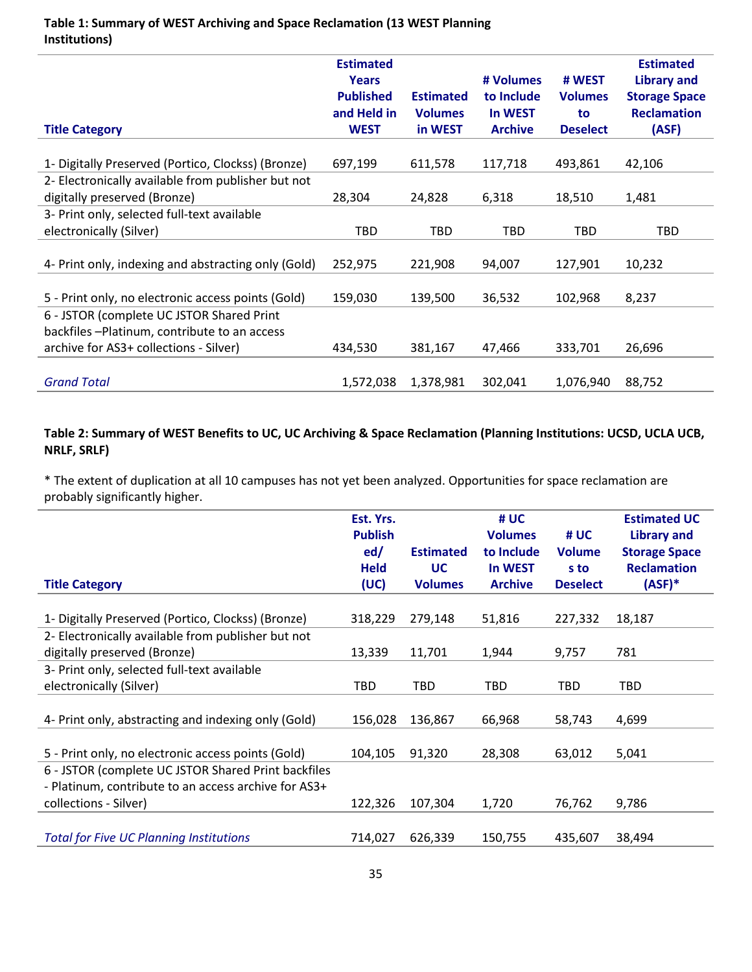## **Table 1: Summary of WEST Archiving and Space Reclamation (13 WEST Planning Institutions)**

| <b>Title Category</b>                                                                    | <b>Estimated</b><br><b>Years</b><br><b>Published</b><br>and Held in<br><b>WEST</b> | <b>Estimated</b><br><b>Volumes</b><br>in WEST | # Volumes<br>to Include<br>In WEST<br><b>Archive</b> | # WEST<br><b>Volumes</b><br>to<br><b>Deselect</b> | <b>Estimated</b><br><b>Library and</b><br><b>Storage Space</b><br><b>Reclamation</b><br>(ASF) |
|------------------------------------------------------------------------------------------|------------------------------------------------------------------------------------|-----------------------------------------------|------------------------------------------------------|---------------------------------------------------|-----------------------------------------------------------------------------------------------|
| 1- Digitally Preserved (Portico, Clockss) (Bronze)                                       | 697,199                                                                            | 611,578                                       | 117,718                                              | 493,861                                           | 42,106                                                                                        |
| 2- Electronically available from publisher but not<br>digitally preserved (Bronze)       | 28,304                                                                             | 24,828                                        | 6,318                                                | 18,510                                            | 1,481                                                                                         |
| 3- Print only, selected full-text available<br>electronically (Silver)                   | TBD                                                                                | <b>TBD</b>                                    | <b>TBD</b>                                           | TBD                                               | TBD                                                                                           |
| 4- Print only, indexing and abstracting only (Gold)                                      | 252,975                                                                            | 221,908                                       | 94,007                                               | 127,901                                           | 10,232                                                                                        |
| 5 - Print only, no electronic access points (Gold)                                       | 159,030                                                                            | 139,500                                       | 36,532                                               | 102,968                                           | 8,237                                                                                         |
| 6 - JSTOR (complete UC JSTOR Shared Print<br>backfiles-Platinum, contribute to an access |                                                                                    |                                               |                                                      |                                                   |                                                                                               |
| archive for AS3+ collections - Silver)                                                   | 434,530                                                                            | 381,167                                       | 47,466                                               | 333,701                                           | 26,696                                                                                        |
| <b>Grand Total</b>                                                                       | 1,572,038                                                                          | 1,378,981                                     | 302,041                                              | 1,076,940                                         | 88,752                                                                                        |

## **Table 2: Summary of WEST Benefits to UC, UC Archiving & Space Reclamation (Planning Institutions: UCSD, UCLA UCB, NRLF, SRLF)**

\* The extent of duplication at all 10 campuses has not yet been analyzed. Opportunities for space reclamation are probably significantly higher.

| <b>Title Category</b>                                | Est. Yrs.<br><b>Publish</b><br>ed/<br><b>Held</b><br>(UC) | <b>Estimated</b><br><b>UC</b><br><b>Volumes</b> | #UC<br><b>Volumes</b><br>to Include<br><b>In WEST</b><br><b>Archive</b> | # UC<br><b>Volume</b><br>s to<br><b>Deselect</b> | <b>Estimated UC</b><br><b>Library and</b><br><b>Storage Space</b><br><b>Reclamation</b><br>$(ASF)*{}$ |
|------------------------------------------------------|-----------------------------------------------------------|-------------------------------------------------|-------------------------------------------------------------------------|--------------------------------------------------|-------------------------------------------------------------------------------------------------------|
|                                                      |                                                           |                                                 |                                                                         |                                                  |                                                                                                       |
| 1- Digitally Preserved (Portico, Clockss) (Bronze)   | 318,229                                                   | 279,148                                         | 51,816                                                                  | 227,332                                          | 18,187                                                                                                |
| 2- Electronically available from publisher but not   |                                                           |                                                 |                                                                         |                                                  |                                                                                                       |
| digitally preserved (Bronze)                         | 13,339                                                    | 11,701                                          | 1,944                                                                   | 9,757                                            | 781                                                                                                   |
| 3- Print only, selected full-text available          |                                                           |                                                 |                                                                         |                                                  |                                                                                                       |
| electronically (Silver)                              | TBD                                                       | <b>TBD</b>                                      | <b>TBD</b>                                                              | TBD                                              | TBD                                                                                                   |
|                                                      |                                                           |                                                 |                                                                         |                                                  |                                                                                                       |
| 4- Print only, abstracting and indexing only (Gold)  | 156,028                                                   | 136,867                                         | 66,968                                                                  | 58,743                                           | 4,699                                                                                                 |
|                                                      |                                                           |                                                 |                                                                         |                                                  |                                                                                                       |
| 5 - Print only, no electronic access points (Gold)   | 104,105                                                   | 91,320                                          | 28,308                                                                  | 63,012                                           | 5,041                                                                                                 |
| 6 - JSTOR (complete UC JSTOR Shared Print backfiles  |                                                           |                                                 |                                                                         |                                                  |                                                                                                       |
| - Platinum, contribute to an access archive for AS3+ |                                                           |                                                 |                                                                         |                                                  |                                                                                                       |
| collections - Silver)                                | 122,326                                                   | 107,304                                         | 1,720                                                                   | 76,762                                           | 9,786                                                                                                 |
|                                                      |                                                           |                                                 |                                                                         |                                                  |                                                                                                       |
| <b>Total for Five UC Planning Institutions</b>       | 714,027                                                   | 626,339                                         | 150,755                                                                 | 435,607                                          | 38,494                                                                                                |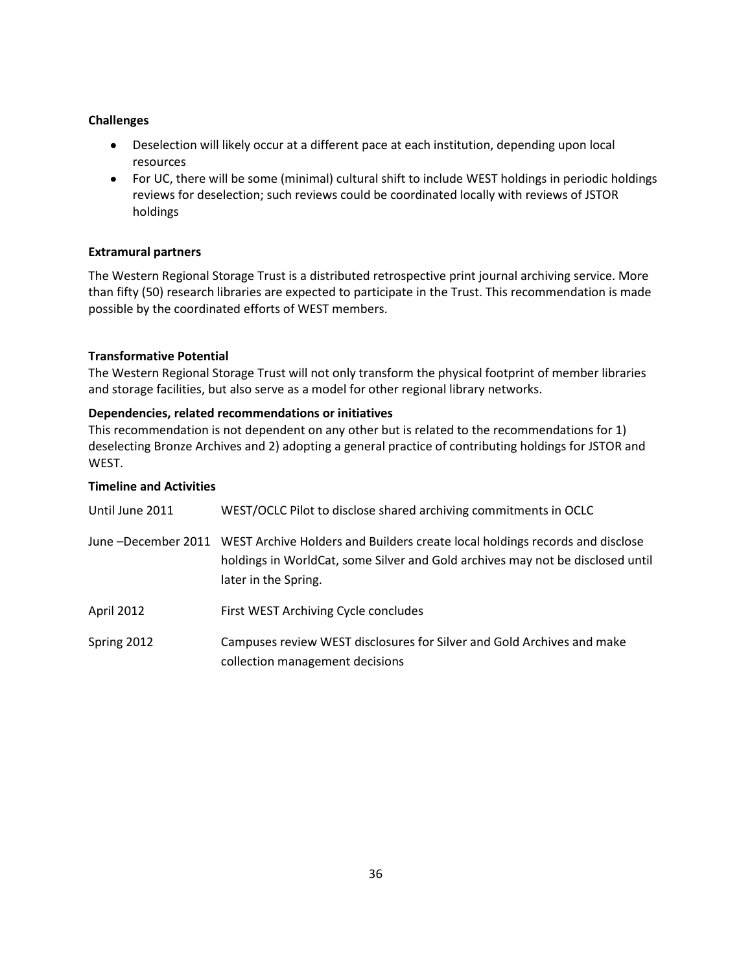## **Challenges**

- Deselection will likely occur at a different pace at each institution, depending upon local resources
- For UC, there will be some (minimal) cultural shift to include WEST holdings in periodic holdings reviews for deselection; such reviews could be coordinated locally with reviews of JSTOR holdings

## **Extramural partners**

The Western Regional Storage Trust is a distributed retrospective print journal archiving service. More than fifty (50) research libraries are expected to participate in the Trust. This recommendation is made possible by the coordinated efforts of WEST members.

## **Transformative Potential**

The Western Regional Storage Trust will not only transform the physical footprint of member libraries and storage facilities, but also serve as a model for other regional library networks.

## **Dependencies, related recommendations or initiatives**

This recommendation is not dependent on any other but is related to the recommendations for 1) deselecting Bronze Archives and 2) adopting a general practice of contributing holdings for JSTOR and WEST.

#### **Timeline and Activities**

| Until June 2011 | WEST/OCLC Pilot to disclose shared archiving commitments in OCLC                                                                                                                                           |
|-----------------|------------------------------------------------------------------------------------------------------------------------------------------------------------------------------------------------------------|
|                 | June -December 2011 WEST Archive Holders and Builders create local holdings records and disclose<br>holdings in WorldCat, some Silver and Gold archives may not be disclosed until<br>later in the Spring. |
| April 2012      | First WEST Archiving Cycle concludes                                                                                                                                                                       |
| Spring 2012     | Campuses review WEST disclosures for Silver and Gold Archives and make<br>collection management decisions                                                                                                  |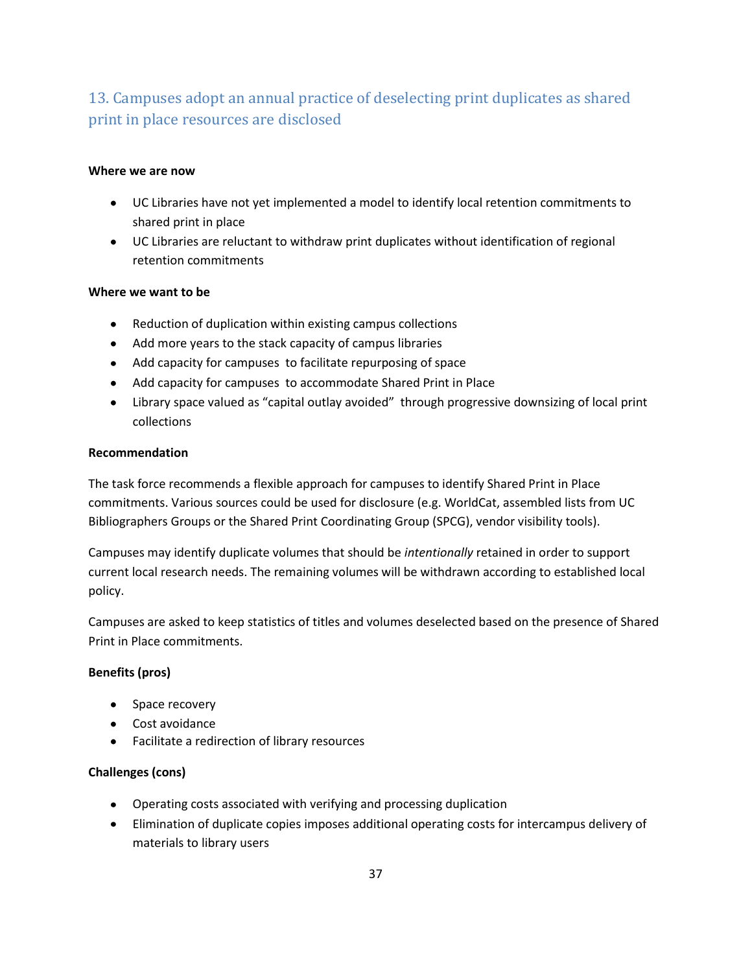## <span id="page-36-0"></span>13. Campuses adopt an annual practice of deselecting print duplicates as shared print in place resources are disclosed

#### **Where we are now**

- UC Libraries have not yet implemented a model to identify local retention commitments to shared print in place
- UC Libraries are reluctant to withdraw print duplicates without identification of regional retention commitments

## **Where we want to be**

- Reduction of duplication within existing campus collections
- Add more years to the stack capacity of campus libraries
- Add capacity for campuses to facilitate repurposing of space
- Add capacity for campuses to accommodate Shared Print in Place
- Library space valued as "capital outlay avoided" through progressive downsizing of local print collections

## **Recommendation**

The task force recommends a flexible approach for campuses to identify Shared Print in Place commitments. Various sources could be used for disclosure (e.g. WorldCat, assembled lists from UC Bibliographers Groups or the Shared Print Coordinating Group (SPCG), vendor visibility tools).

Campuses may identify duplicate volumes that should be *intentionally* retained in order to support current local research needs. The remaining volumes will be withdrawn according to established local policy.

Campuses are asked to keep statistics of titles and volumes deselected based on the presence of Shared Print in Place commitments.

## **Benefits (pros)**

- Space recovery
- Cost avoidance
- Facilitate a redirection of library resources

## **Challenges (cons)**

- Operating costs associated with verifying and processing duplication
- Elimination of duplicate copies imposes additional operating costs for intercampus delivery of materials to library users